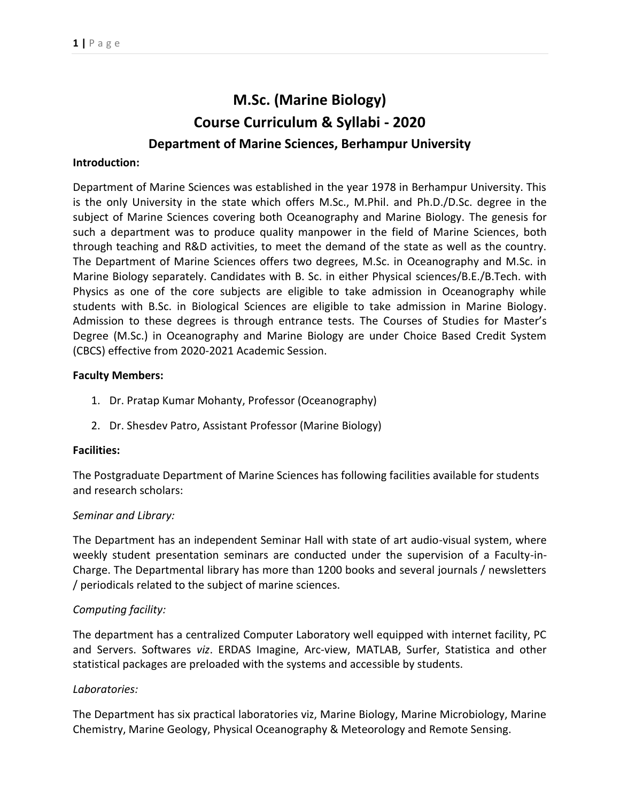# **M.Sc. (Marine Biology) Course Curriculum & Syllabi - 2020 Department of Marine Sciences, Berhampur University**

#### **Introduction:**

Department of Marine Sciences was established in the year 1978 in Berhampur University. This is the only University in the state which offers M.Sc., M.Phil. and Ph.D./D.Sc. degree in the subject of Marine Sciences covering both Oceanography and Marine Biology. The genesis for such a department was to produce quality manpower in the field of Marine Sciences, both through teaching and R&D activities, to meet the demand of the state as well as the country. The Department of Marine Sciences offers two degrees, M.Sc. in Oceanography and M.Sc. in Marine Biology separately. Candidates with B. Sc. in either Physical sciences/B.E./B.Tech. with Physics as one of the core subjects are eligible to take admission in Oceanography while students with B.Sc. in Biological Sciences are eligible to take admission in Marine Biology. Admission to these degrees is through entrance tests. The Courses of Studies for Master's Degree (M.Sc.) in Oceanography and Marine Biology are under Choice Based Credit System (CBCS) effective from 2020-2021 Academic Session.

#### **Faculty Members:**

- 1. Dr. Pratap Kumar Mohanty, Professor (Oceanography)
- 2. Dr. Shesdev Patro, Assistant Professor (Marine Biology)

#### **Facilities:**

The Postgraduate Department of Marine Sciences has following facilities available for students and research scholars:

#### *Seminar and Library:*

The Department has an independent Seminar Hall with state of art audio-visual system, where weekly student presentation seminars are conducted under the supervision of a Faculty-in-Charge. The Departmental library has more than 1200 books and several journals / newsletters / periodicals related to the subject of marine sciences.

#### *Computing facility:*

The department has a centralized Computer Laboratory well equipped with internet facility, PC and Servers. Softwares *viz*. ERDAS Imagine, Arc-view, MATLAB, Surfer, Statistica and other statistical packages are preloaded with the systems and accessible by students.

#### *Laboratories:*

The Department has six practical laboratories viz, Marine Biology, Marine Microbiology, Marine Chemistry, Marine Geology, Physical Oceanography & Meteorology and Remote Sensing.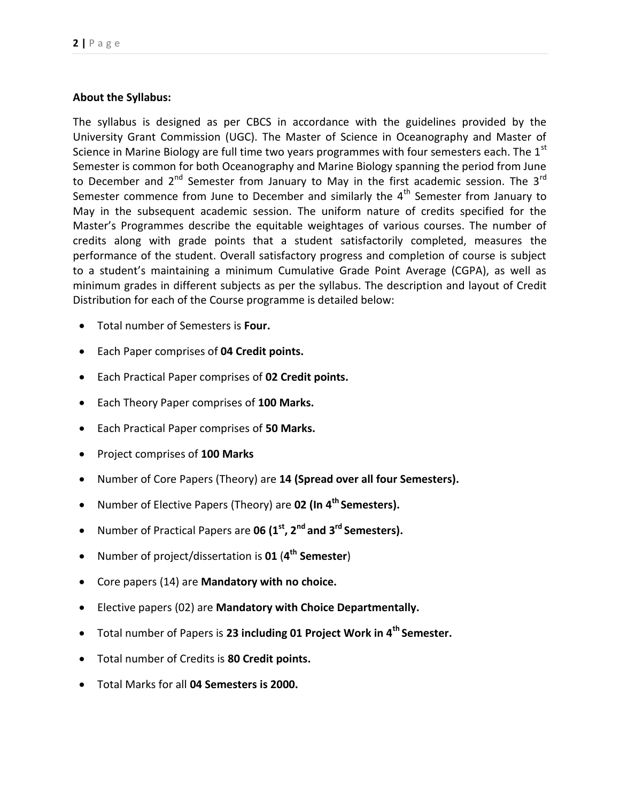#### **About the Syllabus:**

The syllabus is designed as per CBCS in accordance with the guidelines provided by the University Grant Commission (UGC). The Master of Science in Oceanography and Master of Science in Marine Biology are full time two years programmes with four semesters each. The  $1<sup>st</sup>$ Semester is common for both Oceanography and Marine Biology spanning the period from June to December and  $2^{nd}$  Semester from January to May in the first academic session. The 3<sup>rd</sup> Semester commence from June to December and similarly the  $4<sup>th</sup>$  Semester from January to May in the subsequent academic session. The uniform nature of credits specified for the Master's Programmes describe the equitable weightages of various courses. The number of credits along with grade points that a student satisfactorily completed, measures the performance of the student. Overall satisfactory progress and completion of course is subject to a student's maintaining a minimum Cumulative Grade Point Average (CGPA), as well as minimum grades in different subjects as per the syllabus. The description and layout of Credit Distribution for each of the Course programme is detailed below:

- Total number of Semesters is **Four.**
- Each Paper comprises of **04 Credit points.**
- Each Practical Paper comprises of **02 Credit points.**
- Each Theory Paper comprises of **100 Marks.**
- Each Practical Paper comprises of **50 Marks.**
- Project comprises of **100 Marks**
- Number of Core Papers (Theory) are **14 (Spread over all four Semesters).**
- Number of Elective Papers (Theory) are **02 (In 4th Semesters).**
- Number of Practical Papers are **06 (1st, 2nd and 3rd Semesters).**
- Number of project/dissertation is **01** (**4 th Semester**)
- Core papers (14) are **Mandatory with no choice.**
- Elective papers (02) are **Mandatory with Choice Departmentally.**
- Total number of Papers is **23 including 01 Project Work in 4th Semester.**
- Total number of Credits is **80 Credit points.**
- Total Marks for all **04 Semesters is 2000.**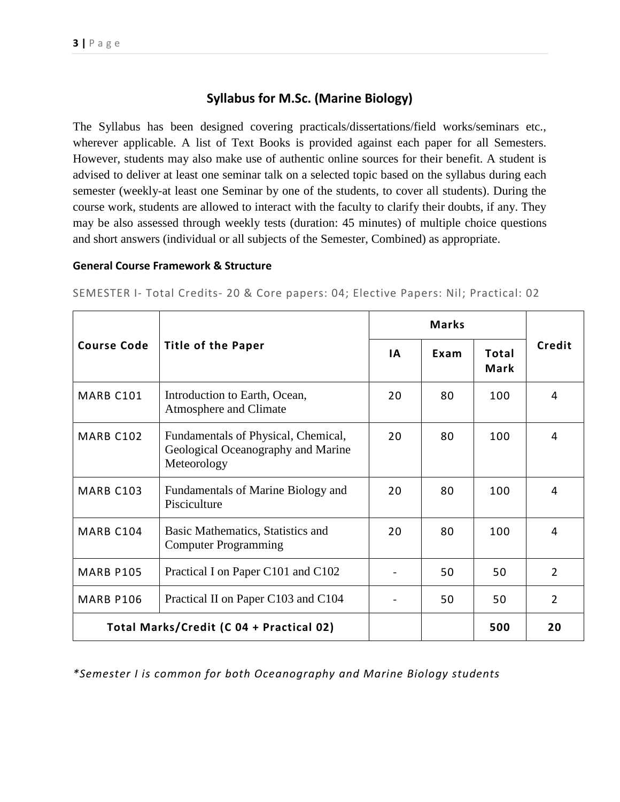# **Syllabus for M.Sc. (Marine Biology)**

The Syllabus has been designed covering practicals/dissertations/field works/seminars etc., wherever applicable. A list of Text Books is provided against each paper for all Semesters. However, students may also make use of authentic online sources for their benefit. A student is advised to deliver at least one seminar talk on a selected topic based on the syllabus during each semester (weekly-at least one Seminar by one of the students, to cover all students). During the course work, students are allowed to interact with the faculty to clarify their doubts, if any. They may be also assessed through weekly tests (duration: 45 minutes) of multiple choice questions and short answers (individual or all subjects of the Semester, Combined) as appropriate.

#### **General Course Framework & Structure**

SEMESTER I- Total Credits- 20 & Core papers: 04; Elective Papers: Nil; Practical: 02

|                                                 |                                                                                          | <b>Marks</b> |      |                      |                |
|-------------------------------------------------|------------------------------------------------------------------------------------------|--------------|------|----------------------|----------------|
| <b>Course Code</b><br><b>Title of the Paper</b> |                                                                                          | ΙA           | Exam | Total<br><b>Mark</b> | Credit         |
| MARB C101                                       | Introduction to Earth, Ocean,<br>Atmosphere and Climate                                  | 20           | 80   | 100                  | 4              |
| <b>MARB C102</b>                                | Fundamentals of Physical, Chemical,<br>Geological Oceanography and Marine<br>Meteorology | 20           | 80   | 100                  | 4              |
| <b>MARB C103</b>                                | Fundamentals of Marine Biology and<br>Pisciculture                                       | 20           | 80   | 100                  | 4              |
| MARB C104                                       | Basic Mathematics, Statistics and<br><b>Computer Programming</b>                         | 20           | 80   | 100                  | 4              |
| <b>MARB P105</b>                                | Practical I on Paper C101 and C102                                                       |              | 50   | 50                   | $\overline{2}$ |
| <b>MARB P106</b>                                | Practical II on Paper C103 and C104                                                      |              | 50   | 50                   | $\overline{2}$ |
|                                                 | Total Marks/Credit (C 04 + Practical 02)                                                 |              |      | 500                  | 20             |

*\*Semester I is common for both Oceanography and Marine Biology students*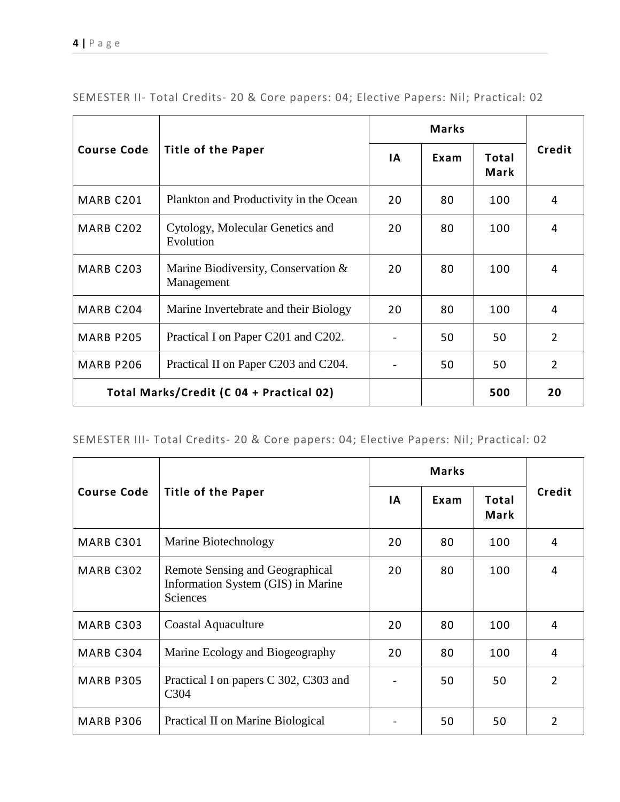|                                          | <b>Title of the Paper</b>                         | <b>Marks</b> |      |                      |                |
|------------------------------------------|---------------------------------------------------|--------------|------|----------------------|----------------|
| <b>Course Code</b>                       |                                                   | ΙA           | Exam | Total<br><b>Mark</b> | Credit         |
| MARB C201                                | Plankton and Productivity in the Ocean            | 20           | 80   | 100                  | 4              |
| MARB C202                                | Cytology, Molecular Genetics and<br>Evolution     | 20           | 80   | 100                  | 4              |
| MARB C203                                | Marine Biodiversity, Conservation &<br>Management | 20           | 80   | 100                  | 4              |
| MARB C204                                | Marine Invertebrate and their Biology             | 20           | 80   | 100                  | 4              |
| <b>MARB P205</b>                         | Practical I on Paper C201 and C202.               |              | 50   | 50                   | $\overline{2}$ |
| <b>MARB P206</b>                         | Practical II on Paper C203 and C204.              |              | 50   | 50                   | $\overline{2}$ |
| Total Marks/Credit (C 04 + Practical 02) |                                                   |              |      | 500                  | 20             |

SEMESTER II- Total Credits- 20 & Core papers: 04; Elective Papers: Nil; Practical: 02

# SEMESTER III- Total Credits- 20 & Core papers: 04; Elective Papers: Nil; Practical: 02

|                    |                                                                                          | <b>Marks</b> |      |                             |                |
|--------------------|------------------------------------------------------------------------------------------|--------------|------|-----------------------------|----------------|
| <b>Course Code</b> | <b>Title of the Paper</b>                                                                | <b>IA</b>    | Exam | <b>Total</b><br><b>Mark</b> | Credit         |
| MARB C301          | Marine Biotechnology                                                                     | 20           | 80   | 100                         | 4              |
| MARB C302          | Remote Sensing and Geographical<br>Information System (GIS) in Marine<br><b>Sciences</b> | 20           | 80   | 100                         | 4              |
| MARB C303          | Coastal Aquaculture                                                                      | 20           | 80   | 100                         | 4              |
| MARB C304          | Marine Ecology and Biogeography                                                          | 20           | 80   | 100                         | 4              |
| <b>MARB P305</b>   | Practical I on papers C 302, C303 and<br>C <sub>3</sub> 04                               |              | 50   | 50                          | $\mathfrak{p}$ |
| <b>MARB P306</b>   | Practical II on Marine Biological                                                        |              | 50   | 50                          | 2              |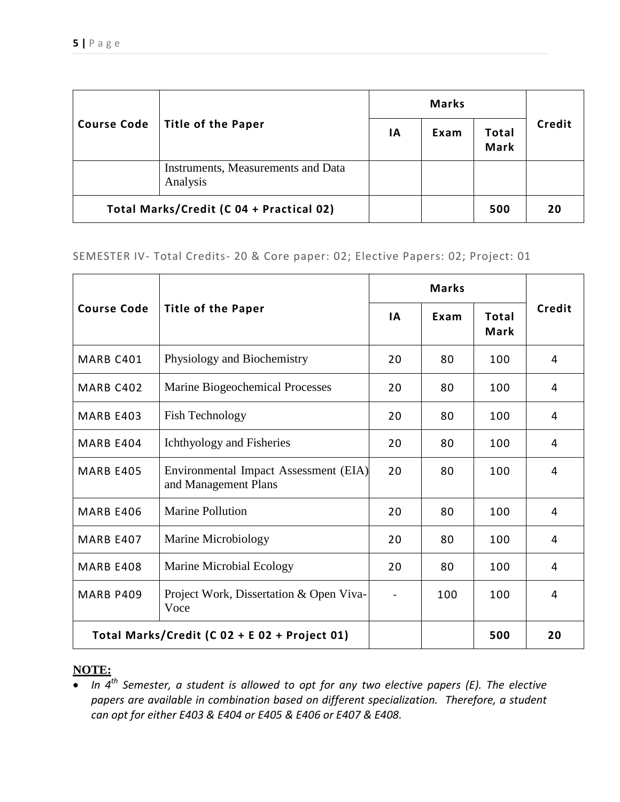|                                          | Title of the Paper                             | <b>Marks</b> |      |                             |        |
|------------------------------------------|------------------------------------------------|--------------|------|-----------------------------|--------|
| <b>Course Code</b>                       |                                                | ΙA           | Exam | <b>Total</b><br><b>Mark</b> | Credit |
|                                          | Instruments, Measurements and Data<br>Analysis |              |      |                             |        |
| Total Marks/Credit (C 04 + Practical 02) |                                                |              |      | 500                         | 20     |

#### SEMESTER IV- Total Credits- 20 & Core paper: 02; Elective Papers: 02; Project: 01

|                    | <b>Title of the Paper</b>                                     | <b>Marks</b> |      |                             |        |
|--------------------|---------------------------------------------------------------|--------------|------|-----------------------------|--------|
| <b>Course Code</b> |                                                               | <b>IA</b>    | Exam | <b>Total</b><br><b>Mark</b> | Credit |
| MARB C401          | Physiology and Biochemistry                                   | 20           | 80   | 100                         | 4      |
| MARB C402          | Marine Biogeochemical Processes                               | 20           | 80   | 100                         | 4      |
| MARB E403          | <b>Fish Technology</b>                                        | 20           | 80   | 100                         | 4      |
| MARB E404          | Ichthyology and Fisheries                                     | 20           | 80   | 100                         | 4      |
| <b>MARB E405</b>   | Environmental Impact Assessment (EIA)<br>and Management Plans | 20           | 80   | 100                         | 4      |
| <b>MARB E406</b>   | <b>Marine Pollution</b>                                       | 20           | 80   | 100                         | 4      |
| <b>MARB E407</b>   | Marine Microbiology                                           | 20           | 80   | 100                         | 4      |
| <b>MARB E408</b>   | Marine Microbial Ecology                                      | 20           | 80   | 100                         | 4      |
| <b>MARB P409</b>   | Project Work, Dissertation & Open Viva-<br>Voce               |              | 100  | 100                         | 4      |
|                    | Total Marks/Credit (C 02 + E 02 + Project 01)                 |              |      | 500                         | 20     |

# **NOTE:**

 *In 4th Semester, a student is allowed to opt for any two elective papers (E). The elective papers are available in combination based on different specialization. Therefore, a student can opt for either E403 & E404 or E405 & E406 or E407 & E408.*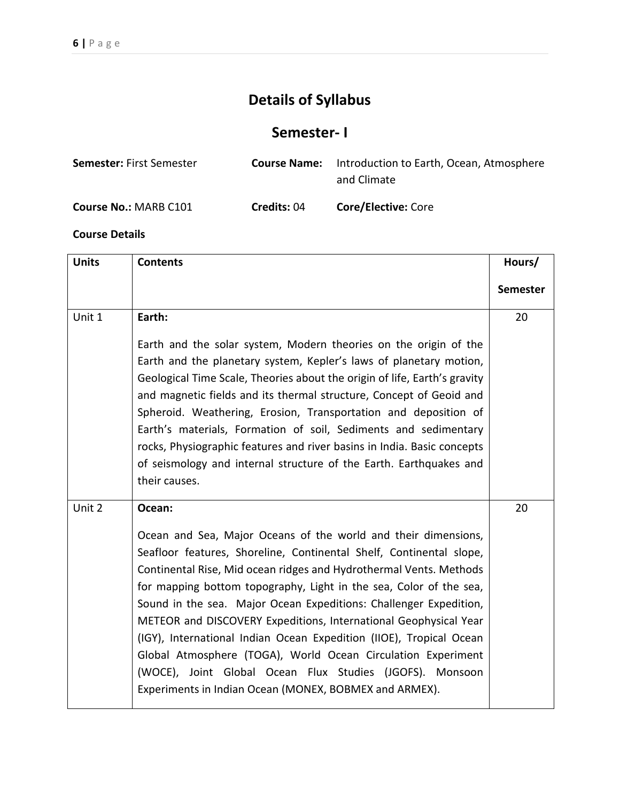# **Details of Syllabus**

# **Semester- I**

| <b>Semester: First Semester</b> |                    | <b>Course Name:</b> Introduction to Earth, Ocean, Atmosphere<br>and Climate |
|---------------------------------|--------------------|-----------------------------------------------------------------------------|
| Course No.: MARB C101           | <b>Credits: 04</b> | <b>Core/Elective: Core</b>                                                  |

| <b>Units</b> | <b>Contents</b>                                                                                                                                                                                                                                                                                                                                                                                                                                                                                                                                                                                                                                                                                   | Hours/          |
|--------------|---------------------------------------------------------------------------------------------------------------------------------------------------------------------------------------------------------------------------------------------------------------------------------------------------------------------------------------------------------------------------------------------------------------------------------------------------------------------------------------------------------------------------------------------------------------------------------------------------------------------------------------------------------------------------------------------------|-----------------|
|              |                                                                                                                                                                                                                                                                                                                                                                                                                                                                                                                                                                                                                                                                                                   | <b>Semester</b> |
| Unit 1       | Earth:<br>Earth and the solar system, Modern theories on the origin of the<br>Earth and the planetary system, Kepler's laws of planetary motion,<br>Geological Time Scale, Theories about the origin of life, Earth's gravity<br>and magnetic fields and its thermal structure, Concept of Geoid and<br>Spheroid. Weathering, Erosion, Transportation and deposition of<br>Earth's materials, Formation of soil, Sediments and sedimentary<br>rocks, Physiographic features and river basins in India. Basic concepts<br>of seismology and internal structure of the Earth. Earthquakes and<br>their causes.                                                                                      | 20              |
| Unit 2       | Ocean:<br>Ocean and Sea, Major Oceans of the world and their dimensions,<br>Seafloor features, Shoreline, Continental Shelf, Continental slope,<br>Continental Rise, Mid ocean ridges and Hydrothermal Vents. Methods<br>for mapping bottom topography, Light in the sea, Color of the sea,<br>Sound in the sea. Major Ocean Expeditions: Challenger Expedition,<br>METEOR and DISCOVERY Expeditions, International Geophysical Year<br>(IGY), International Indian Ocean Expedition (IIOE), Tropical Ocean<br>Global Atmosphere (TOGA), World Ocean Circulation Experiment<br>(WOCE), Joint Global Ocean Flux Studies (JGOFS). Monsoon<br>Experiments in Indian Ocean (MONEX, BOBMEX and ARMEX). | 20              |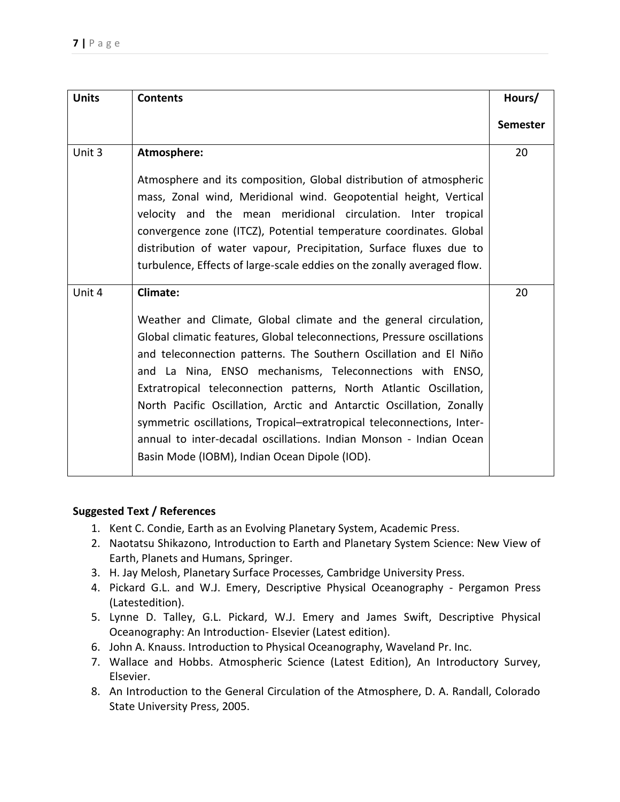| <b>Units</b> | <b>Contents</b>                                                                                                                                                                                                                                                                                                                                                                                                                                                                                                                                                                                                             | Hours/          |
|--------------|-----------------------------------------------------------------------------------------------------------------------------------------------------------------------------------------------------------------------------------------------------------------------------------------------------------------------------------------------------------------------------------------------------------------------------------------------------------------------------------------------------------------------------------------------------------------------------------------------------------------------------|-----------------|
|              |                                                                                                                                                                                                                                                                                                                                                                                                                                                                                                                                                                                                                             | <b>Semester</b> |
| Unit 3       | Atmosphere:                                                                                                                                                                                                                                                                                                                                                                                                                                                                                                                                                                                                                 | 20              |
|              | Atmosphere and its composition, Global distribution of atmospheric<br>mass, Zonal wind, Meridional wind. Geopotential height, Vertical<br>velocity and the mean meridional circulation. Inter tropical<br>convergence zone (ITCZ), Potential temperature coordinates. Global<br>distribution of water vapour, Precipitation, Surface fluxes due to<br>turbulence, Effects of large-scale eddies on the zonally averaged flow.                                                                                                                                                                                               |                 |
| Unit 4       | <b>Climate:</b>                                                                                                                                                                                                                                                                                                                                                                                                                                                                                                                                                                                                             | 20              |
|              | Weather and Climate, Global climate and the general circulation,<br>Global climatic features, Global teleconnections, Pressure oscillations<br>and teleconnection patterns. The Southern Oscillation and El Niño<br>and La Nina, ENSO mechanisms, Teleconnections with ENSO,<br>Extratropical teleconnection patterns, North Atlantic Oscillation,<br>North Pacific Oscillation, Arctic and Antarctic Oscillation, Zonally<br>symmetric oscillations, Tropical-extratropical teleconnections, Inter-<br>annual to inter-decadal oscillations. Indian Monson - Indian Ocean<br>Basin Mode (IOBM), Indian Ocean Dipole (IOD). |                 |

- 1. Kent C. Condie, Earth as an Evolving Planetary System, Academic Press.
- 2. Naotatsu Shikazono, Introduction to Earth and Planetary System Science: New View of Earth, Planets and Humans, Springer.
- 3. H. Jay Melosh, Planetary Surface Processes*,* Cambridge University Press.
- 4. Pickard G.L. and W.J. Emery, Descriptive Physical Oceanography Pergamon Press (Latestedition).
- 5. Lynne D. Talley, G.L. Pickard, W.J. Emery and James Swift, Descriptive Physical Oceanography: An Introduction- Elsevier (Latest edition).
- 6. John A. Knauss. Introduction to Physical Oceanography, Waveland Pr. Inc.
- 7. Wallace and Hobbs. Atmospheric Science (Latest Edition), An Introductory Survey, Elsevier.
- 8. An Introduction to the General Circulation of the Atmosphere, D. A. Randall, Colorado State University Press, 2005.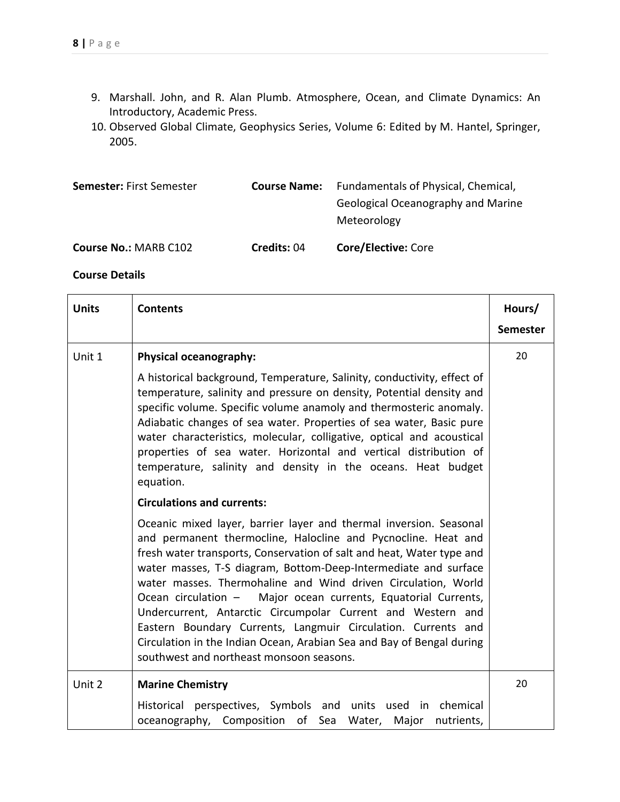- 9. Marshall. John, and R. Alan Plumb. Atmosphere, Ocean, and Climate Dynamics: An Introductory, Academic Press.
- 10. Observed Global Climate, Geophysics Series, Volume 6: Edited by M. Hantel, Springer, 2005.

| <b>Semester: First Semester</b> | <b>Course Name:</b> | Fundamentals of Physical, Chemical,<br>Geological Oceanography and Marine<br>Meteorology |
|---------------------------------|---------------------|------------------------------------------------------------------------------------------|
| <b>Course No.: MARB C102</b>    | <b>Credits: 04</b>  | <b>Core/Elective: Core</b>                                                               |

| <b>Units</b> | <b>Contents</b>                                                                                                                                                                                                                                                                                                                                                                                                                                                                                                                                                                                                                                                         | Hours/          |
|--------------|-------------------------------------------------------------------------------------------------------------------------------------------------------------------------------------------------------------------------------------------------------------------------------------------------------------------------------------------------------------------------------------------------------------------------------------------------------------------------------------------------------------------------------------------------------------------------------------------------------------------------------------------------------------------------|-----------------|
|              |                                                                                                                                                                                                                                                                                                                                                                                                                                                                                                                                                                                                                                                                         | <b>Semester</b> |
| Unit 1       | Physical oceanography:                                                                                                                                                                                                                                                                                                                                                                                                                                                                                                                                                                                                                                                  | 20              |
|              | A historical background, Temperature, Salinity, conductivity, effect of<br>temperature, salinity and pressure on density, Potential density and<br>specific volume. Specific volume anamoly and thermosteric anomaly.<br>Adiabatic changes of sea water. Properties of sea water, Basic pure<br>water characteristics, molecular, colligative, optical and acoustical<br>properties of sea water. Horizontal and vertical distribution of<br>temperature, salinity and density in the oceans. Heat budget<br>equation.                                                                                                                                                  |                 |
|              | <b>Circulations and currents:</b>                                                                                                                                                                                                                                                                                                                                                                                                                                                                                                                                                                                                                                       |                 |
|              | Oceanic mixed layer, barrier layer and thermal inversion. Seasonal<br>and permanent thermocline, Halocline and Pycnocline. Heat and<br>fresh water transports, Conservation of salt and heat, Water type and<br>water masses, T-S diagram, Bottom-Deep-Intermediate and surface<br>water masses. Thermohaline and Wind driven Circulation, World<br>Ocean circulation - Major ocean currents, Equatorial Currents,<br>Undercurrent, Antarctic Circumpolar Current and Western and<br>Eastern Boundary Currents, Langmuir Circulation. Currents and<br>Circulation in the Indian Ocean, Arabian Sea and Bay of Bengal during<br>southwest and northeast monsoon seasons. |                 |
| Unit 2       | <b>Marine Chemistry</b>                                                                                                                                                                                                                                                                                                                                                                                                                                                                                                                                                                                                                                                 | 20              |
|              | Historical perspectives, Symbols and units used in chemical<br>oceanography, Composition of Sea Water,<br>Major<br>nutrients,                                                                                                                                                                                                                                                                                                                                                                                                                                                                                                                                           |                 |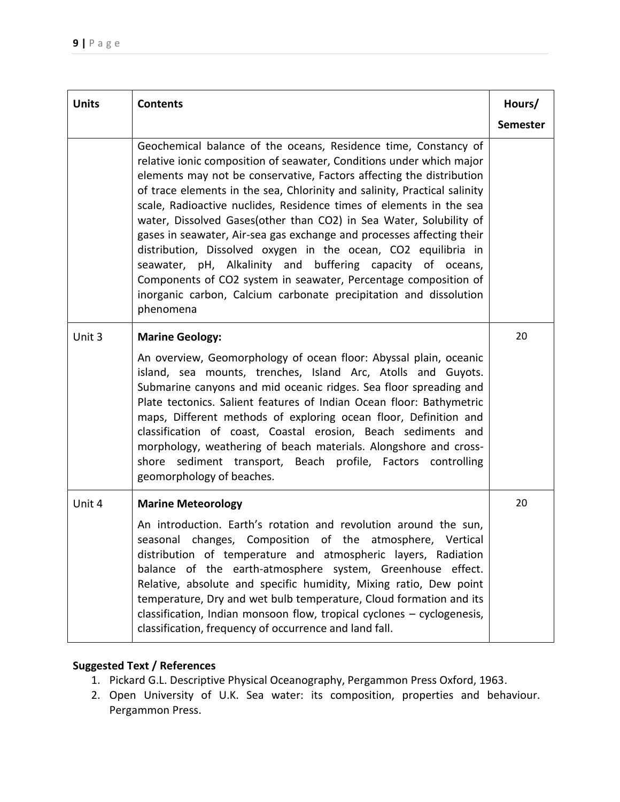| <b>Units</b> | <b>Contents</b>                                                                                                                                                                                                                                                                                                                                                                                                                                                                                                                                                                                                                                                                                                                                                                                         | Hours/          |
|--------------|---------------------------------------------------------------------------------------------------------------------------------------------------------------------------------------------------------------------------------------------------------------------------------------------------------------------------------------------------------------------------------------------------------------------------------------------------------------------------------------------------------------------------------------------------------------------------------------------------------------------------------------------------------------------------------------------------------------------------------------------------------------------------------------------------------|-----------------|
|              |                                                                                                                                                                                                                                                                                                                                                                                                                                                                                                                                                                                                                                                                                                                                                                                                         | <b>Semester</b> |
|              | Geochemical balance of the oceans, Residence time, Constancy of<br>relative ionic composition of seawater, Conditions under which major<br>elements may not be conservative, Factors affecting the distribution<br>of trace elements in the sea, Chlorinity and salinity, Practical salinity<br>scale, Radioactive nuclides, Residence times of elements in the sea<br>water, Dissolved Gases(other than CO2) in Sea Water, Solubility of<br>gases in seawater, Air-sea gas exchange and processes affecting their<br>distribution, Dissolved oxygen in the ocean, CO2 equilibria in<br>seawater, pH, Alkalinity and buffering capacity of oceans,<br>Components of CO2 system in seawater, Percentage composition of<br>inorganic carbon, Calcium carbonate precipitation and dissolution<br>phenomena |                 |
| Unit 3       | <b>Marine Geology:</b>                                                                                                                                                                                                                                                                                                                                                                                                                                                                                                                                                                                                                                                                                                                                                                                  | 20              |
|              | An overview, Geomorphology of ocean floor: Abyssal plain, oceanic<br>island, sea mounts, trenches, Island Arc, Atolls and Guyots.<br>Submarine canyons and mid oceanic ridges. Sea floor spreading and<br>Plate tectonics. Salient features of Indian Ocean floor: Bathymetric<br>maps, Different methods of exploring ocean floor, Definition and<br>classification of coast, Coastal erosion, Beach sediments and<br>morphology, weathering of beach materials. Alongshore and cross-<br>shore sediment transport, Beach profile, Factors controlling<br>geomorphology of beaches.                                                                                                                                                                                                                    |                 |
| Unit 4       | <b>Marine Meteorology</b>                                                                                                                                                                                                                                                                                                                                                                                                                                                                                                                                                                                                                                                                                                                                                                               | 20              |
|              | An introduction. Earth's rotation and revolution around the sun,<br>seasonal changes, Composition of the atmosphere, Vertical<br>distribution of temperature and atmospheric layers, Radiation<br>balance of the earth-atmosphere system, Greenhouse effect.<br>Relative, absolute and specific humidity, Mixing ratio, Dew point<br>temperature, Dry and wet bulb temperature, Cloud formation and its<br>classification, Indian monsoon flow, tropical cyclones - cyclogenesis,<br>classification, frequency of occurrence and land fall.                                                                                                                                                                                                                                                             |                 |

- 1. Pickard G.L. Descriptive Physical Oceanography, Pergammon Press Oxford, 1963.
- 2. Open University of U.K. Sea water: its composition, properties and behaviour. Pergammon Press.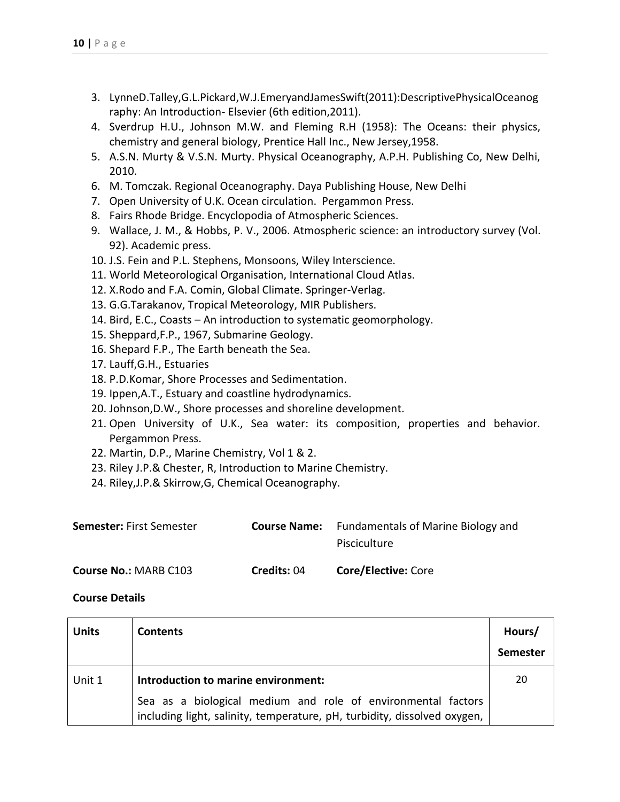- 3. LynneD.Talley,G.L.Pickard,W.J.EmeryandJamesSwift(2011):DescriptivePhysicalOceanog raphy: An Introduction- Elsevier (6th edition,2011).
- 4. Sverdrup H.U., Johnson M.W. and Fleming R.H (1958): The Oceans: their physics, chemistry and general biology, Prentice Hall Inc., New Jersey,1958.
- 5. A.S.N. Murty & V.S.N. Murty. Physical Oceanography, A.P.H. Publishing Co, New Delhi, 2010.
- 6. M. Tomczak. Regional Oceanography. Daya Publishing House, New Delhi
- 7. Open University of U.K. Ocean circulation. Pergammon Press.
- 8. Fairs Rhode Bridge. Encyclopodia of Atmospheric Sciences.
- 9. Wallace, J. M., & Hobbs, P. V., 2006. Atmospheric science: an introductory survey (Vol. 92). Academic press.
- 10. J.S. Fein and P.L. Stephens, Monsoons, Wiley Interscience.
- 11. World Meteorological Organisation, International Cloud Atlas.
- 12. X.Rodo and F.A. Comin, Global Climate. Springer-Verlag.
- 13. G.G.Tarakanov, Tropical Meteorology, MIR Publishers.
- 14. Bird, E.C., Coasts An introduction to systematic geomorphology.
- 15. Sheppard,F.P., 1967, Submarine Geology.
- 16. Shepard F.P., The Earth beneath the Sea.
- 17. Lauff,G.H., Estuaries
- 18. P.D.Komar, Shore Processes and Sedimentation.
- 19. Ippen,A.T., Estuary and coastline hydrodynamics.
- 20. Johnson,D.W., Shore processes and shoreline development.
- 21. Open University of U.K., Sea water: its composition, properties and behavior. Pergammon Press.
- 22. Martin, D.P., Marine Chemistry, Vol 1 & 2.
- 23. Riley J.P.& Chester, R, Introduction to Marine Chemistry.
- 24. Riley,J.P.& Skirrow,G, Chemical Oceanography.

| <b>Semester:</b> First Semester |             | <b>Course Name:</b> Fundamentals of Marine Biology and |
|---------------------------------|-------------|--------------------------------------------------------|
|                                 |             | Pisciculture                                           |
| <b>Course No.: MARB C103</b>    | Credits: 04 | <b>Core/Elective: Core</b>                             |

| <b>Units</b> | <b>Contents</b>                                                                                                                          | Hours/<br><b>Semester</b> |
|--------------|------------------------------------------------------------------------------------------------------------------------------------------|---------------------------|
| Unit 1       | Introduction to marine environment:                                                                                                      | 20                        |
|              | Sea as a biological medium and role of environmental factors<br>including light, salinity, temperature, pH, turbidity, dissolved oxygen, |                           |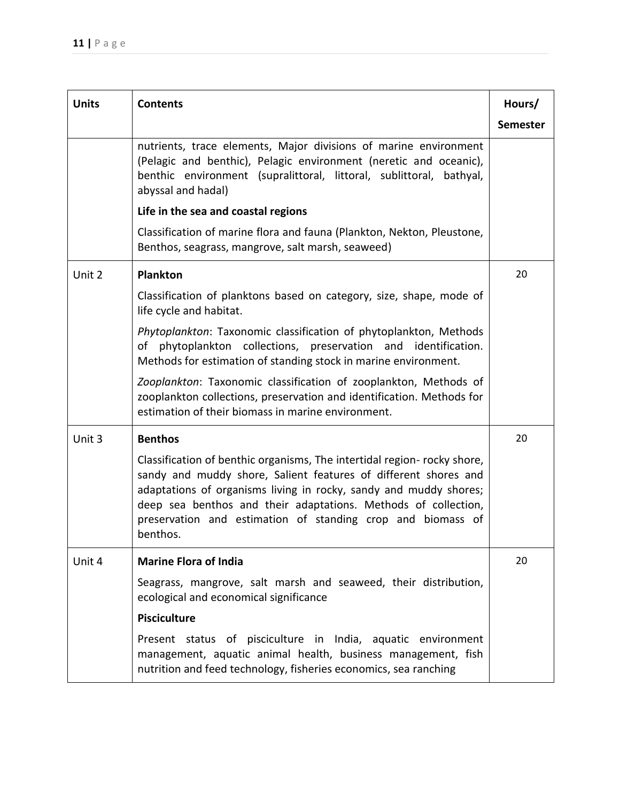| <b>Units</b> | <b>Contents</b>                                                                                                                                                                                                                                                                                                                                               | Hours/          |
|--------------|---------------------------------------------------------------------------------------------------------------------------------------------------------------------------------------------------------------------------------------------------------------------------------------------------------------------------------------------------------------|-----------------|
|              |                                                                                                                                                                                                                                                                                                                                                               | <b>Semester</b> |
|              | nutrients, trace elements, Major divisions of marine environment<br>(Pelagic and benthic), Pelagic environment (neretic and oceanic),<br>benthic environment (supralittoral, littoral, sublittoral, bathyal,<br>abyssal and hadal)<br>Life in the sea and coastal regions                                                                                     |                 |
|              | Classification of marine flora and fauna (Plankton, Nekton, Pleustone,<br>Benthos, seagrass, mangrove, salt marsh, seaweed)                                                                                                                                                                                                                                   |                 |
| Unit 2       | <b>Plankton</b>                                                                                                                                                                                                                                                                                                                                               | 20              |
|              | Classification of planktons based on category, size, shape, mode of<br>life cycle and habitat.                                                                                                                                                                                                                                                                |                 |
|              | Phytoplankton: Taxonomic classification of phytoplankton, Methods<br>of phytoplankton collections, preservation and identification.<br>Methods for estimation of standing stock in marine environment.                                                                                                                                                        |                 |
|              | Zooplankton: Taxonomic classification of zooplankton, Methods of<br>zooplankton collections, preservation and identification. Methods for<br>estimation of their biomass in marine environment.                                                                                                                                                               |                 |
| Unit 3       | <b>Benthos</b>                                                                                                                                                                                                                                                                                                                                                | 20              |
|              | Classification of benthic organisms, The intertidal region- rocky shore,<br>sandy and muddy shore, Salient features of different shores and<br>adaptations of organisms living in rocky, sandy and muddy shores;<br>deep sea benthos and their adaptations. Methods of collection,<br>preservation and estimation of standing crop and biomass of<br>benthos. |                 |
| Unit 4       | <b>Marine Flora of India</b>                                                                                                                                                                                                                                                                                                                                  | 20              |
|              | Seagrass, mangrove, salt marsh and seaweed, their distribution,<br>ecological and economical significance                                                                                                                                                                                                                                                     |                 |
|              | <b>Pisciculture</b>                                                                                                                                                                                                                                                                                                                                           |                 |
|              | Present status of pisciculture in India, aquatic environment<br>management, aquatic animal health, business management, fish<br>nutrition and feed technology, fisheries economics, sea ranching                                                                                                                                                              |                 |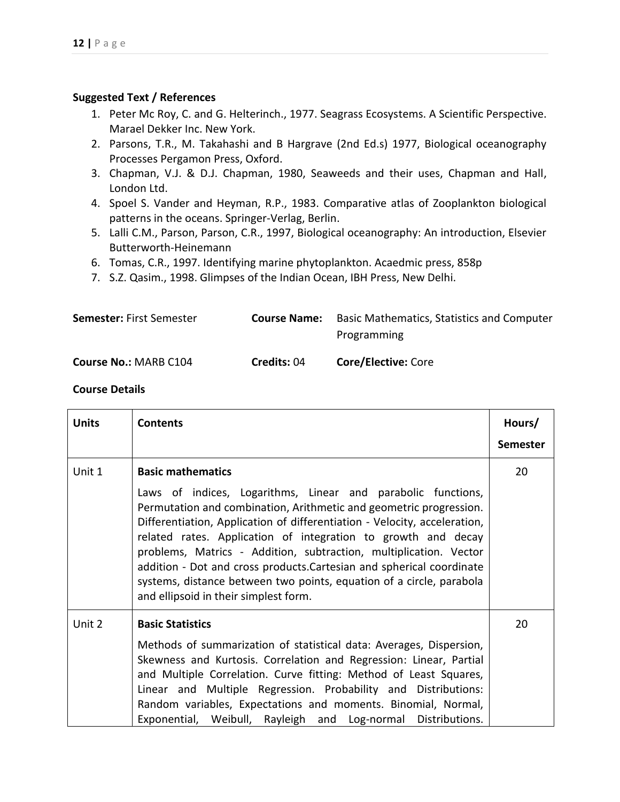- 1. Peter Mc Roy, C. and G. Helterinch., 1977. Seagrass Ecosystems. A Scientific Perspective. Marael Dekker Inc. New York.
- 2. Parsons, T.R., M. Takahashi and B Hargrave (2nd Ed.s) 1977, Biological oceanography Processes Pergamon Press, Oxford.
- 3. Chapman, V.J. & D.J. Chapman, 1980, Seaweeds and their uses, Chapman and Hall, London Ltd.
- 4. Spoel S. Vander and Heyman, R.P., 1983. Comparative atlas of Zooplankton biological patterns in the oceans. Springer-Verlag, Berlin.
- 5. Lalli C.M., Parson, Parson, C.R., 1997, Biological oceanography: An introduction, Elsevier Butterworth-Heinemann
- 6. Tomas, C.R., 1997. Identifying marine phytoplankton. Acaedmic press, 858p
- 7. S.Z. Qasim., 1998. Glimpses of the Indian Ocean, IBH Press, New Delhi.

| <b>Semester: First Semester</b> | <b>Course Name:</b> | <b>Basic Mathematics, Statistics and Computer</b> |
|---------------------------------|---------------------|---------------------------------------------------|
|                                 |                     | Programming                                       |
| <b>Course No.: MARB C104</b>    | Credits: 04         | <b>Core/Elective: Core</b>                        |

| <b>Units</b> | <b>Contents</b>                                                                                                                                                                                                                                                                                                                                                                                                                                                                                                                                                             | Hours/<br><b>Semester</b> |
|--------------|-----------------------------------------------------------------------------------------------------------------------------------------------------------------------------------------------------------------------------------------------------------------------------------------------------------------------------------------------------------------------------------------------------------------------------------------------------------------------------------------------------------------------------------------------------------------------------|---------------------------|
| Unit 1       | <b>Basic mathematics</b><br>Laws of indices, Logarithms, Linear and parabolic functions,<br>Permutation and combination, Arithmetic and geometric progression.<br>Differentiation, Application of differentiation - Velocity, acceleration,<br>related rates. Application of integration to growth and decay<br>problems, Matrics - Addition, subtraction, multiplication. Vector<br>addition - Dot and cross products. Cartesian and spherical coordinate<br>systems, distance between two points, equation of a circle, parabola<br>and ellipsoid in their simplest form. | 20                        |
| Unit 2       | <b>Basic Statistics</b><br>Methods of summarization of statistical data: Averages, Dispersion,<br>Skewness and Kurtosis. Correlation and Regression: Linear, Partial<br>and Multiple Correlation. Curve fitting: Method of Least Squares,<br>Linear and Multiple Regression. Probability and Distributions:<br>Random variables, Expectations and moments. Binomial, Normal,<br>Exponential, Weibull, Rayleigh and Log-normal<br>Distributions.                                                                                                                             | 20                        |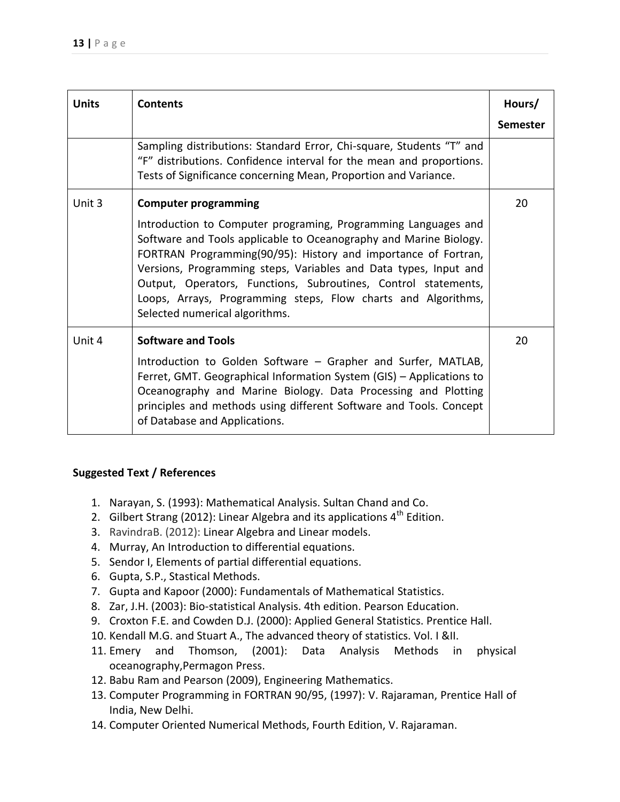| <b>Units</b> | <b>Contents</b>                                                                                                                                                                                                                                                                                                                                                                                                                                                               | Hours/<br><b>Semester</b> |
|--------------|-------------------------------------------------------------------------------------------------------------------------------------------------------------------------------------------------------------------------------------------------------------------------------------------------------------------------------------------------------------------------------------------------------------------------------------------------------------------------------|---------------------------|
|              | Sampling distributions: Standard Error, Chi-square, Students "T" and<br>"F" distributions. Confidence interval for the mean and proportions.<br>Tests of Significance concerning Mean, Proportion and Variance.                                                                                                                                                                                                                                                               |                           |
| Unit 3       | <b>Computer programming</b><br>Introduction to Computer programing, Programming Languages and<br>Software and Tools applicable to Oceanography and Marine Biology.<br>FORTRAN Programming(90/95): History and importance of Fortran,<br>Versions, Programming steps, Variables and Data types, Input and<br>Output, Operators, Functions, Subroutines, Control statements,<br>Loops, Arrays, Programming steps, Flow charts and Algorithms,<br>Selected numerical algorithms. | 20                        |
| Unit 4       | <b>Software and Tools</b><br>Introduction to Golden Software - Grapher and Surfer, MATLAB,<br>Ferret, GMT. Geographical Information System (GIS) - Applications to<br>Oceanography and Marine Biology. Data Processing and Plotting<br>principles and methods using different Software and Tools. Concept<br>of Database and Applications.                                                                                                                                    | 20                        |

- 1. Narayan, S. (1993): Mathematical Analysis. Sultan Chand and Co.
- 2. Gilbert Strang (2012): Linear Algebra and its applications  $4<sup>th</sup>$  Edition.
- 3. RavindraB. (2012): Linear Algebra and Linear models.
- 4. Murray, An Introduction to differential equations.
- 5. Sendor I, Elements of partial differential equations.
- 6. Gupta, S.P., Stastical Methods.
- 7. Gupta and Kapoor (2000): Fundamentals of Mathematical Statistics.
- 8. Zar, J.H. (2003): Bio-statistical Analysis. 4th edition. Pearson Education.
- 9. Croxton F.E. and Cowden D.J. (2000): Applied General Statistics. Prentice Hall.
- 10. Kendall M.G. and Stuart A., The advanced theory of statistics. Vol. I &II.
- 11. Emery and Thomson, (2001): Data Analysis Methods in physical oceanography,Permagon Press.
- 12. Babu Ram and Pearson (2009), Engineering Mathematics.
- 13. Computer Programming in FORTRAN 90/95, (1997): V. Rajaraman, Prentice Hall of India, New Delhi.
- 14. Computer Oriented Numerical Methods, Fourth Edition, V. Rajaraman.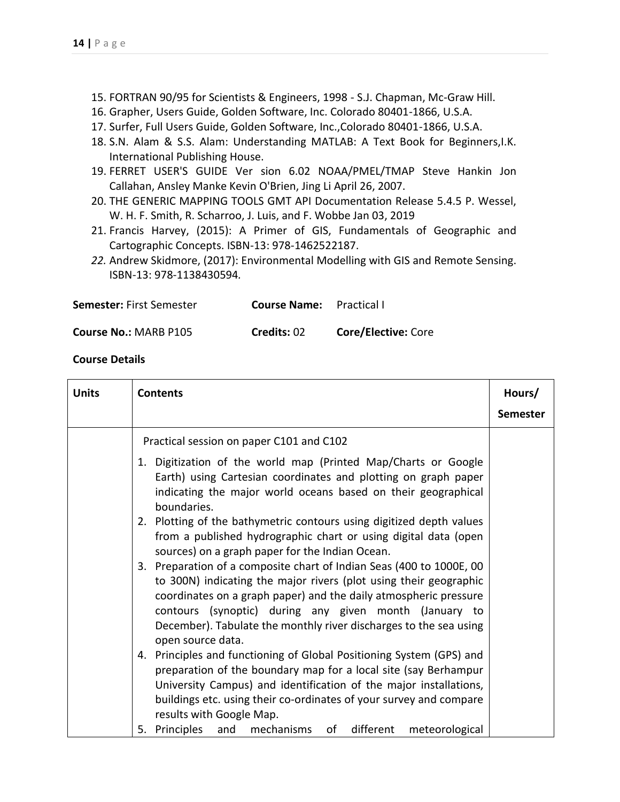- 15. FORTRAN 90/95 for Scientists & Engineers, 1998 S.J. Chapman, Mc-Graw Hill.
- 16. Grapher, Users Guide, Golden Software, Inc. Colorado 80401-1866, U.S.A.
- 17. Surfer, Full Users Guide, Golden Software, Inc.,Colorado 80401-1866, U.S.A.
- 18. S.N. Alam & S.S. Alam: Understanding MATLAB: A Text Book for Beginners, I.K. International Publishing House.
- 19. FERRET USER'S GUIDE Ver sion 6.02 NOAA/PMEL/TMAP Steve Hankin Jon Callahan, Ansley Manke Kevin O'Brien, Jing Li April 26, 2007.
- 20. THE GENERIC MAPPING TOOLS GMT API Documentation Release 5.4.5 P. Wessel, W. H. F. Smith, R. Scharroo, J. Luis, and F. Wobbe Jan 03, 2019
- 21. Francis Harvey, (2015): A Primer of GIS, Fundamentals of Geographic and Cartographic Concepts. ISBN-13: 978-1462522187.
- *22.* Andrew Skidmore, (2017): Environmental Modelling with GIS and Remote Sensing. ISBN-13: 978-1138430594*.*

| <b>Semester: First Semester</b> | <b>Course Name:</b> Practical I |  |
|---------------------------------|---------------------------------|--|
|                                 |                                 |  |

#### **Course No.:** MARB P105 **Credits:** 02 **Core/Elective:** Core

| <b>Units</b> | <b>Contents</b>                                                                                                                                                                                                                                                                                                                                                   | Hours/          |
|--------------|-------------------------------------------------------------------------------------------------------------------------------------------------------------------------------------------------------------------------------------------------------------------------------------------------------------------------------------------------------------------|-----------------|
|              |                                                                                                                                                                                                                                                                                                                                                                   | <b>Semester</b> |
|              | Practical session on paper C101 and C102                                                                                                                                                                                                                                                                                                                          |                 |
|              | 1. Digitization of the world map (Printed Map/Charts or Google<br>Earth) using Cartesian coordinates and plotting on graph paper<br>indicating the major world oceans based on their geographical<br>boundaries.                                                                                                                                                  |                 |
|              | 2. Plotting of the bathymetric contours using digitized depth values<br>from a published hydrographic chart or using digital data (open<br>sources) on a graph paper for the Indian Ocean.                                                                                                                                                                        |                 |
|              | 3. Preparation of a composite chart of Indian Seas (400 to 1000E, 00<br>to 300N) indicating the major rivers (plot using their geographic<br>coordinates on a graph paper) and the daily atmospheric pressure<br>contours (synoptic) during any given month (January to<br>December). Tabulate the monthly river discharges to the sea using<br>open source data. |                 |
|              | 4. Principles and functioning of Global Positioning System (GPS) and<br>preparation of the boundary map for a local site (say Berhampur<br>University Campus) and identification of the major installations,<br>buildings etc. using their co-ordinates of your survey and compare<br>results with Google Map.                                                    |                 |
|              | 5. Principles<br>and mechanisms<br>of<br>different<br>meteorological                                                                                                                                                                                                                                                                                              |                 |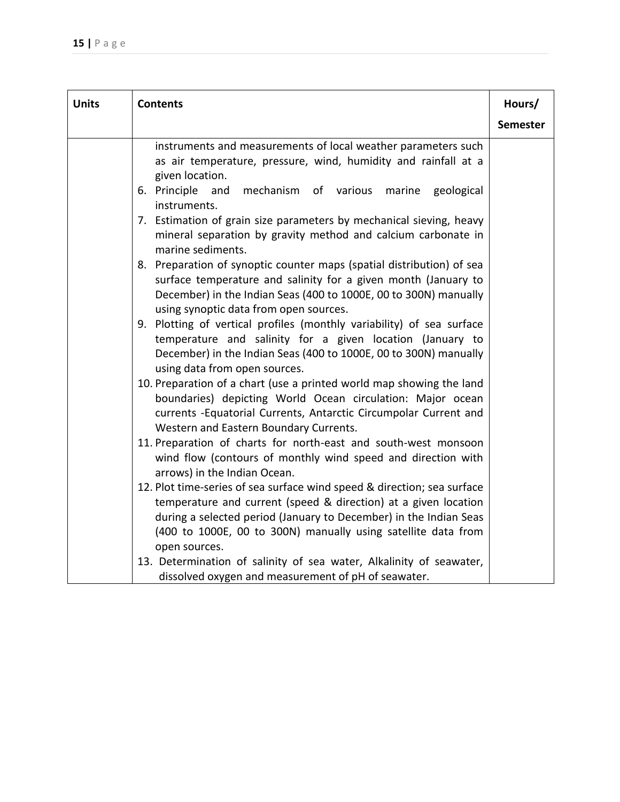| <b>Units</b> | <b>Contents</b>                                                                                                                                                                                                                                                                                   | Hours/          |
|--------------|---------------------------------------------------------------------------------------------------------------------------------------------------------------------------------------------------------------------------------------------------------------------------------------------------|-----------------|
|              |                                                                                                                                                                                                                                                                                                   | <b>Semester</b> |
|              | instruments and measurements of local weather parameters such<br>as air temperature, pressure, wind, humidity and rainfall at a<br>given location.                                                                                                                                                |                 |
|              | 6. Principle and<br>mechanism of various<br>geological<br>marine<br>instruments.                                                                                                                                                                                                                  |                 |
|              | 7. Estimation of grain size parameters by mechanical sieving, heavy<br>mineral separation by gravity method and calcium carbonate in<br>marine sediments.                                                                                                                                         |                 |
|              | 8. Preparation of synoptic counter maps (spatial distribution) of sea<br>surface temperature and salinity for a given month (January to<br>December) in the Indian Seas (400 to 1000E, 00 to 300N) manually<br>using synoptic data from open sources.                                             |                 |
|              | 9. Plotting of vertical profiles (monthly variability) of sea surface<br>temperature and salinity for a given location (January to<br>December) in the Indian Seas (400 to 1000E, 00 to 300N) manually<br>using data from open sources.                                                           |                 |
|              | 10. Preparation of a chart (use a printed world map showing the land<br>boundaries) depicting World Ocean circulation: Major ocean<br>currents -Equatorial Currents, Antarctic Circumpolar Current and<br>Western and Eastern Boundary Currents.                                                  |                 |
|              | 11. Preparation of charts for north-east and south-west monsoon<br>wind flow (contours of monthly wind speed and direction with<br>arrows) in the Indian Ocean.                                                                                                                                   |                 |
|              | 12. Plot time-series of sea surface wind speed & direction; sea surface<br>temperature and current (speed & direction) at a given location<br>during a selected period (January to December) in the Indian Seas<br>(400 to 1000E, 00 to 300N) manually using satellite data from<br>open sources. |                 |
|              | 13. Determination of salinity of sea water, Alkalinity of seawater,<br>dissolved oxygen and measurement of pH of seawater.                                                                                                                                                                        |                 |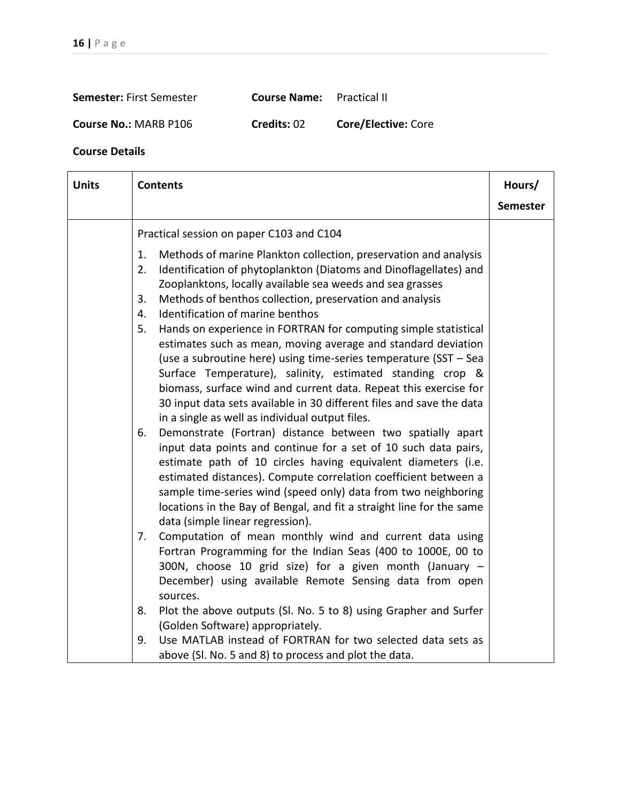| Semester: First Semester | <b>Course Name:</b> Practical II |  |
|--------------------------|----------------------------------|--|
|                          |                                  |  |

**Course No.:** MARB P106 **Credits:** 02 **Core/Elective:** Core

| <b>Units</b> | <b>Contents</b>                                                                                                                                                                                                                                                                                                                                                                                                                                                                                                                                                                                                                                                           |                 |  |
|--------------|---------------------------------------------------------------------------------------------------------------------------------------------------------------------------------------------------------------------------------------------------------------------------------------------------------------------------------------------------------------------------------------------------------------------------------------------------------------------------------------------------------------------------------------------------------------------------------------------------------------------------------------------------------------------------|-----------------|--|
|              |                                                                                                                                                                                                                                                                                                                                                                                                                                                                                                                                                                                                                                                                           | <b>Semester</b> |  |
|              | Practical session on paper C103 and C104                                                                                                                                                                                                                                                                                                                                                                                                                                                                                                                                                                                                                                  |                 |  |
|              | Methods of marine Plankton collection, preservation and analysis<br>1.<br>Identification of phytoplankton (Diatoms and Dinoflagellates) and<br>2.<br>Zooplanktons, locally available sea weeds and sea grasses<br>Methods of benthos collection, preservation and analysis<br>3.<br>Identification of marine benthos<br>4.<br>Hands on experience in FORTRAN for computing simple statistical<br>5.<br>estimates such as mean, moving average and standard deviation<br>(use a subroutine here) using time-series temperature (SST - Sea<br>Surface Temperature), salinity, estimated standing crop &<br>biomass, surface wind and current data. Repeat this exercise for |                 |  |
|              | 30 input data sets available in 30 different files and save the data<br>in a single as well as individual output files.<br>Demonstrate (Fortran) distance between two spatially apart<br>6.<br>input data points and continue for a set of 10 such data pairs,<br>estimate path of 10 circles having equivalent diameters (i.e.<br>estimated distances). Compute correlation coefficient between a<br>sample time-series wind (speed only) data from two neighboring<br>locations in the Bay of Bengal, and fit a straight line for the same<br>data (simple linear regression).                                                                                          |                 |  |
|              | Computation of mean monthly wind and current data using<br>7.<br>Fortran Programming for the Indian Seas (400 to 1000E, 00 to<br>300N, choose 10 grid size) for a given month (January -<br>December) using available Remote Sensing data from open<br>sources.<br>Plot the above outputs (Sl. No. 5 to 8) using Grapher and Surfer<br>8.                                                                                                                                                                                                                                                                                                                                 |                 |  |
|              | (Golden Software) appropriately.<br>Use MATLAB instead of FORTRAN for two selected data sets as<br>9.<br>above (Sl. No. 5 and 8) to process and plot the data.                                                                                                                                                                                                                                                                                                                                                                                                                                                                                                            |                 |  |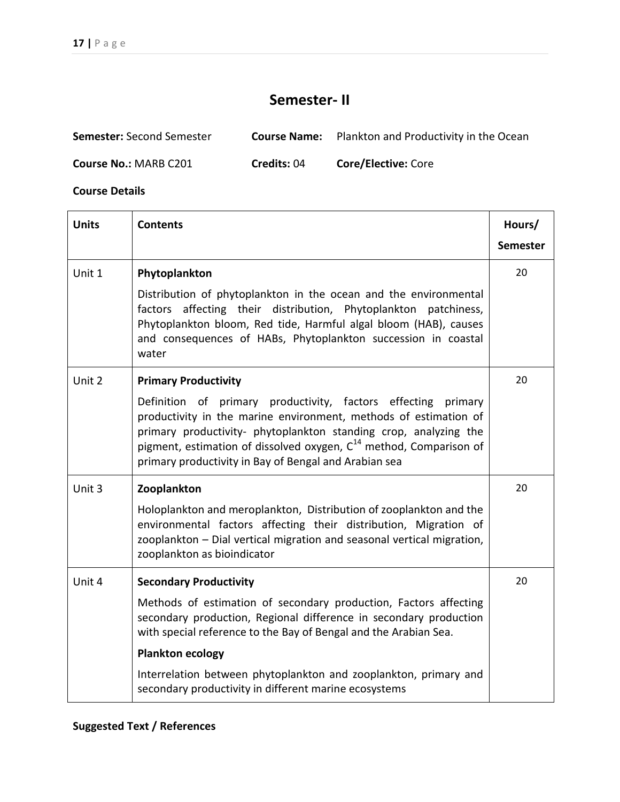# **Semester- II**

| <b>Semester:</b> Second Semester | <b>Course Name:</b> | Plankton and Productivity in the Ocean |
|----------------------------------|---------------------|----------------------------------------|
| <b>Course No.: MARB C201</b>     | <b>Credits: 04</b>  | <b>Core/Elective: Core</b>             |

| <b>Units</b> | <b>Contents</b>                                                                                                                                                                                                                                                                                                                                  | Hours/          |
|--------------|--------------------------------------------------------------------------------------------------------------------------------------------------------------------------------------------------------------------------------------------------------------------------------------------------------------------------------------------------|-----------------|
|              |                                                                                                                                                                                                                                                                                                                                                  | <b>Semester</b> |
| Unit 1       | Phytoplankton                                                                                                                                                                                                                                                                                                                                    | 20              |
|              | Distribution of phytoplankton in the ocean and the environmental<br>factors affecting their distribution, Phytoplankton patchiness,<br>Phytoplankton bloom, Red tide, Harmful algal bloom (HAB), causes<br>and consequences of HABs, Phytoplankton succession in coastal<br>water                                                                |                 |
| Unit 2       | <b>Primary Productivity</b>                                                                                                                                                                                                                                                                                                                      | 20              |
|              | Definition of primary productivity, factors effecting primary<br>productivity in the marine environment, methods of estimation of<br>primary productivity- phytoplankton standing crop, analyzing the<br>pigment, estimation of dissolved oxygen, C <sup>14</sup> method, Comparison of<br>primary productivity in Bay of Bengal and Arabian sea |                 |
| Unit 3       | Zooplankton                                                                                                                                                                                                                                                                                                                                      | 20              |
|              | Holoplankton and meroplankton, Distribution of zooplankton and the<br>environmental factors affecting their distribution, Migration of<br>zooplankton - Dial vertical migration and seasonal vertical migration,<br>zooplankton as bioindicator                                                                                                  |                 |
| Unit 4       | <b>Secondary Productivity</b>                                                                                                                                                                                                                                                                                                                    | 20              |
|              | Methods of estimation of secondary production, Factors affecting<br>secondary production, Regional difference in secondary production<br>with special reference to the Bay of Bengal and the Arabian Sea.                                                                                                                                        |                 |
|              | <b>Plankton ecology</b>                                                                                                                                                                                                                                                                                                                          |                 |
|              | Interrelation between phytoplankton and zooplankton, primary and<br>secondary productivity in different marine ecosystems                                                                                                                                                                                                                        |                 |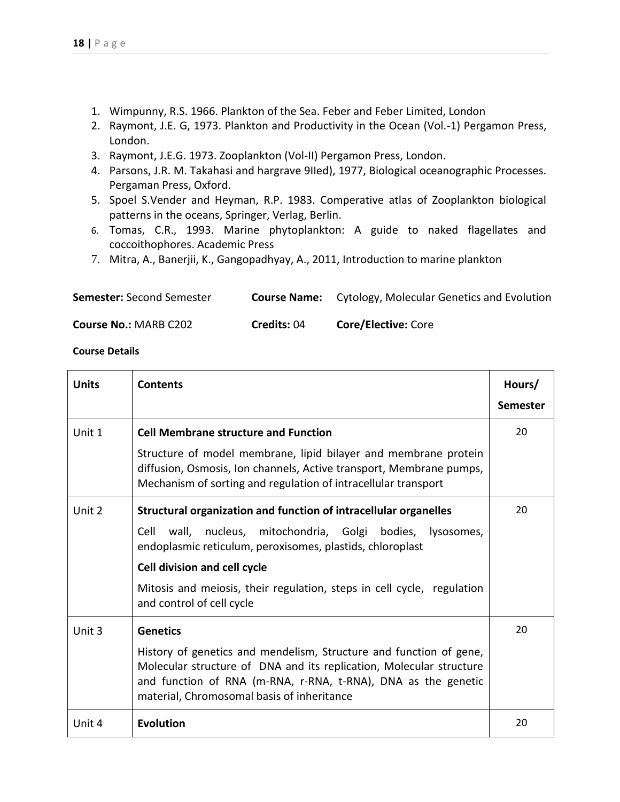- 1. Wimpunny, R.S. 1966. Plankton of the Sea. Feber and Feber Limited, London
- 2. Raymont, J.E. G, 1973. Plankton and Productivity in the Ocean (Vol.-1) Pergamon Press, London.
- 3. Raymont, J.E.G. 1973. Zooplankton (Vol-II) Pergamon Press, London.
- 4. Parsons, J.R. M. Takahasi and hargrave 9IIed), 1977, Biological oceanographic Processes. Pergaman Press, Oxford.
- 5. Spoel S.Vender and Heyman, R.P. 1983. Comperative atlas of Zooplankton biological patterns in the oceans, Springer, Verlag, Berlin.
- 6. Tomas, C.R., 1993. Marine phytoplankton: A guide to naked flagellates and coccoithophores. Academic Press
- 7. Mitra, A., Banerjii, K., Gangopadhyay, A., 2011, Introduction to marine plankton

| <b>Semester: Second Semester</b> | <b>Course Name:</b> Cytology, Molecular Genetics and Evolution |
|----------------------------------|----------------------------------------------------------------|
|----------------------------------|----------------------------------------------------------------|

**Course No.:** MARB C202 **Credits:** 04 **Core/Elective:** Core

| <b>Units</b> | <b>Contents</b>                                                                                                                                                                                                                                          | Hours/          |
|--------------|----------------------------------------------------------------------------------------------------------------------------------------------------------------------------------------------------------------------------------------------------------|-----------------|
|              |                                                                                                                                                                                                                                                          | <b>Semester</b> |
| Unit 1       | <b>Cell Membrane structure and Function</b>                                                                                                                                                                                                              | 20              |
|              | Structure of model membrane, lipid bilayer and membrane protein<br>diffusion, Osmosis, Ion channels, Active transport, Membrane pumps,<br>Mechanism of sorting and regulation of intracellular transport                                                 |                 |
| Unit 2       | Structural organization and function of intracellular organelles                                                                                                                                                                                         | 20              |
|              | wall, nucleus, mitochondria, Golgi bodies, lysosomes,<br>Cell<br>endoplasmic reticulum, peroxisomes, plastids, chloroplast                                                                                                                               |                 |
|              | <b>Cell division and cell cycle</b>                                                                                                                                                                                                                      |                 |
|              | Mitosis and meiosis, their regulation, steps in cell cycle, regulation<br>and control of cell cycle                                                                                                                                                      |                 |
| Unit 3       | <b>Genetics</b>                                                                                                                                                                                                                                          | 20              |
|              | History of genetics and mendelism, Structure and function of gene,<br>Molecular structure of DNA and its replication, Molecular structure<br>and function of RNA (m-RNA, r-RNA, t-RNA), DNA as the genetic<br>material, Chromosomal basis of inheritance |                 |
| Unit 4       | <b>Evolution</b>                                                                                                                                                                                                                                         | 20              |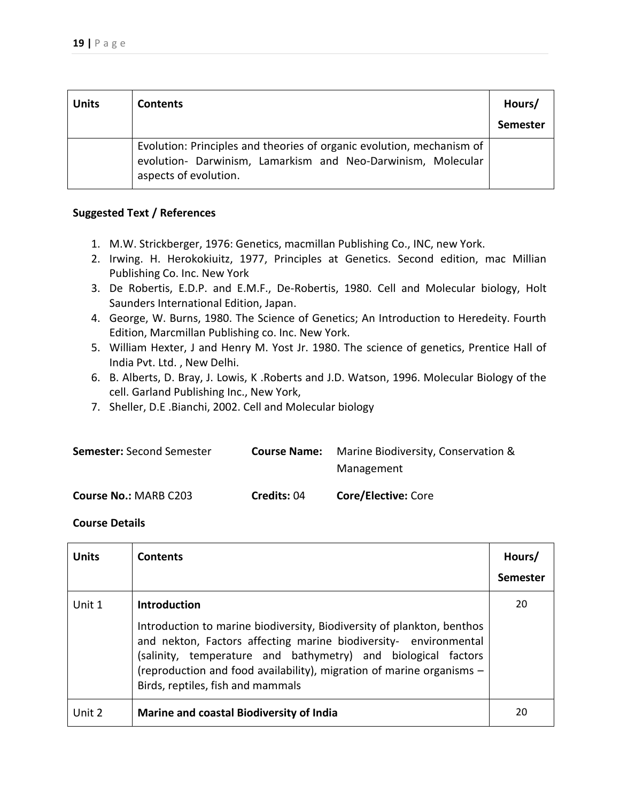| <b>Units</b> | <b>Contents</b>                                                                                                                                                | Hours/<br><b>Semester</b> |
|--------------|----------------------------------------------------------------------------------------------------------------------------------------------------------------|---------------------------|
|              | Evolution: Principles and theories of organic evolution, mechanism of<br>evolution- Darwinism, Lamarkism and Neo-Darwinism, Molecular<br>aspects of evolution. |                           |

- 1. M.W. Strickberger, 1976: Genetics, macmillan Publishing Co., INC, new York.
- 2. Irwing. H. Herokokiuitz, 1977, Principles at Genetics. Second edition, mac Millian Publishing Co. Inc. New York
- 3. De Robertis, E.D.P. and E.M.F., De-Robertis, 1980. Cell and Molecular biology, Holt Saunders International Edition, Japan.
- 4. George, W. Burns, 1980. The Science of Genetics; An Introduction to Heredeity. Fourth Edition, Marcmillan Publishing co. Inc. New York.
- 5. William Hexter, J and Henry M. Yost Jr. 1980. The science of genetics, Prentice Hall of India Pvt. Ltd. , New Delhi.
- 6. B. Alberts, D. Bray, J. Lowis, K .Roberts and J.D. Watson, 1996. Molecular Biology of the cell. Garland Publishing Inc., New York,
- 7. Sheller, D.E .Bianchi, 2002. Cell and Molecular biology

| <b>Semester:</b> Second Semester | <b>Course Name:</b> | Marine Biodiversity, Conservation & |
|----------------------------------|---------------------|-------------------------------------|
|                                  |                     | Management                          |
| <b>Course No.: MARB C203</b>     | Credits: 04         | <b>Core/Elective: Core</b>          |

| <b>Units</b> | <b>Contents</b>                                                                                                                                                                                                                                                                                                                                  | Hours/<br><b>Semester</b> |
|--------------|--------------------------------------------------------------------------------------------------------------------------------------------------------------------------------------------------------------------------------------------------------------------------------------------------------------------------------------------------|---------------------------|
| Unit 1       | <b>Introduction</b><br>Introduction to marine biodiversity, Biodiversity of plankton, benthos<br>and nekton, Factors affecting marine biodiversity- environmental<br>(salinity, temperature and bathymetry) and biological factors<br>(reproduction and food availability), migration of marine organisms -<br>Birds, reptiles, fish and mammals | 20                        |
| Unit 2       | <b>Marine and coastal Biodiversity of India</b>                                                                                                                                                                                                                                                                                                  | 20                        |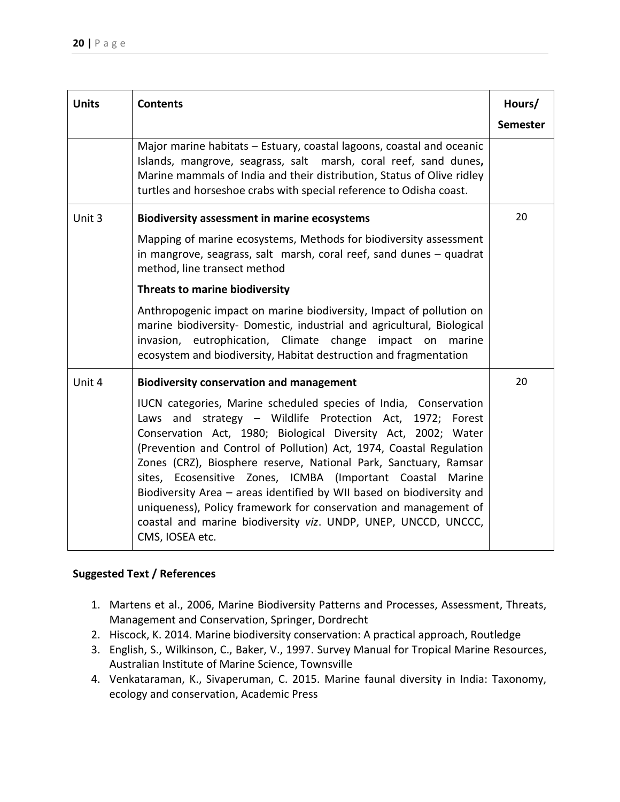| <b>Units</b> | <b>Contents</b>                                                                                                                                                                                                                                                                                                                                                                                                                                                                                                                                                                                                                           | Hours/          |
|--------------|-------------------------------------------------------------------------------------------------------------------------------------------------------------------------------------------------------------------------------------------------------------------------------------------------------------------------------------------------------------------------------------------------------------------------------------------------------------------------------------------------------------------------------------------------------------------------------------------------------------------------------------------|-----------------|
|              |                                                                                                                                                                                                                                                                                                                                                                                                                                                                                                                                                                                                                                           | <b>Semester</b> |
|              | Major marine habitats - Estuary, coastal lagoons, coastal and oceanic<br>Islands, mangrove, seagrass, salt marsh, coral reef, sand dunes,<br>Marine mammals of India and their distribution, Status of Olive ridley<br>turtles and horseshoe crabs with special reference to Odisha coast.                                                                                                                                                                                                                                                                                                                                                |                 |
| Unit 3       | <b>Biodiversity assessment in marine ecosystems</b>                                                                                                                                                                                                                                                                                                                                                                                                                                                                                                                                                                                       | 20              |
|              | Mapping of marine ecosystems, Methods for biodiversity assessment<br>in mangrove, seagrass, salt marsh, coral reef, sand dunes - quadrat<br>method, line transect method                                                                                                                                                                                                                                                                                                                                                                                                                                                                  |                 |
|              | Threats to marine biodiversity                                                                                                                                                                                                                                                                                                                                                                                                                                                                                                                                                                                                            |                 |
|              | Anthropogenic impact on marine biodiversity, Impact of pollution on<br>marine biodiversity- Domestic, industrial and agricultural, Biological<br>invasion, eutrophication, Climate change impact on marine<br>ecosystem and biodiversity, Habitat destruction and fragmentation                                                                                                                                                                                                                                                                                                                                                           |                 |
| Unit 4       | <b>Biodiversity conservation and management</b>                                                                                                                                                                                                                                                                                                                                                                                                                                                                                                                                                                                           | 20              |
|              | IUCN categories, Marine scheduled species of India, Conservation<br>Laws and strategy - Wildlife Protection Act, 1972; Forest<br>Conservation Act, 1980; Biological Diversity Act, 2002; Water<br>(Prevention and Control of Pollution) Act, 1974, Coastal Regulation<br>Zones (CRZ), Biosphere reserve, National Park, Sanctuary, Ramsar<br>sites, Ecosensitive Zones, ICMBA (Important Coastal Marine<br>Biodiversity Area - areas identified by WII based on biodiversity and<br>uniqueness), Policy framework for conservation and management of<br>coastal and marine biodiversity viz. UNDP, UNEP, UNCCD, UNCCC,<br>CMS, IOSEA etc. |                 |

- 1. Martens et al., 2006, Marine Biodiversity Patterns and Processes, Assessment, Threats, Management and Conservation, Springer, Dordrecht
- 2. Hiscock, K. 2014. Marine biodiversity conservation: A practical approach, Routledge
- 3. English, S., Wilkinson, C., Baker, V., 1997. Survey Manual for Tropical Marine Resources, Australian Institute of Marine Science, Townsville
- 4. Venkataraman, K., Sivaperuman, C. 2015. Marine faunal diversity in India: Taxonomy, ecology and conservation, Academic Press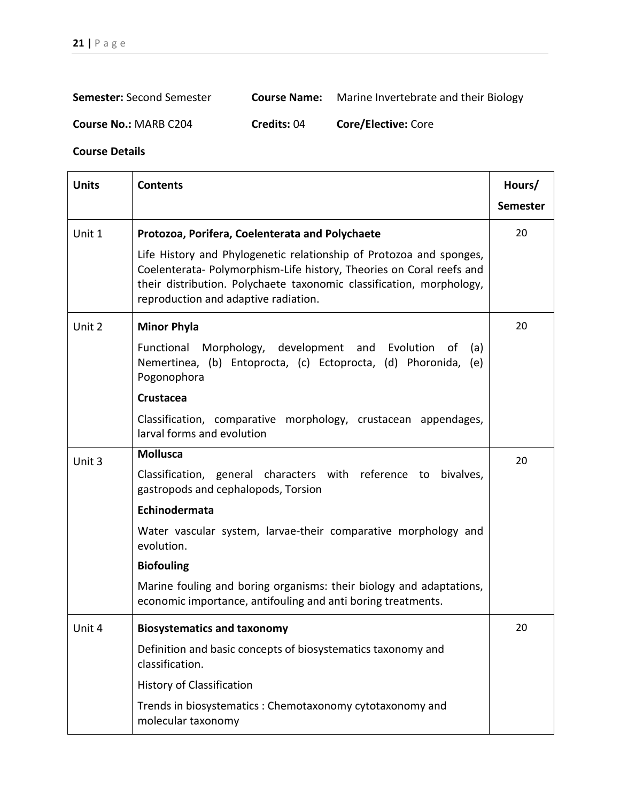| <b>Semester: Second Semester</b><br><b>Course Name:</b> | Marine Invertebrate and their Biology |
|---------------------------------------------------------|---------------------------------------|
|---------------------------------------------------------|---------------------------------------|

**Course No.:** MARB C204 **Credits:** 04 **Core/Elective:** Core

| <b>Units</b> | <b>Contents</b>                                                                                                                                                                                                                                             |                 |
|--------------|-------------------------------------------------------------------------------------------------------------------------------------------------------------------------------------------------------------------------------------------------------------|-----------------|
|              |                                                                                                                                                                                                                                                             | <b>Semester</b> |
| Unit 1       | Protozoa, Porifera, Coelenterata and Polychaete                                                                                                                                                                                                             | 20              |
|              | Life History and Phylogenetic relationship of Protozoa and sponges,<br>Coelenterata- Polymorphism-Life history, Theories on Coral reefs and<br>their distribution. Polychaete taxonomic classification, morphology,<br>reproduction and adaptive radiation. |                 |
| Unit 2       | <b>Minor Phyla</b>                                                                                                                                                                                                                                          | 20              |
|              | Functional Morphology, development and Evolution<br>of<br>(a)<br>Nemertinea, (b) Entoprocta, (c) Ectoprocta, (d) Phoronida, (e)<br>Pogonophora                                                                                                              |                 |
|              | Crustacea                                                                                                                                                                                                                                                   |                 |
|              | Classification, comparative morphology, crustacean appendages,<br>larval forms and evolution                                                                                                                                                                |                 |
| Unit 3       | <b>Mollusca</b>                                                                                                                                                                                                                                             | 20              |
|              | Classification, general characters with reference to<br>bivalves,<br>gastropods and cephalopods, Torsion                                                                                                                                                    |                 |
|              | Echinodermata                                                                                                                                                                                                                                               |                 |
|              | Water vascular system, larvae-their comparative morphology and<br>evolution.                                                                                                                                                                                |                 |
|              | <b>Biofouling</b>                                                                                                                                                                                                                                           |                 |
|              | Marine fouling and boring organisms: their biology and adaptations,<br>economic importance, antifouling and anti boring treatments.                                                                                                                         |                 |
| Unit 4       | <b>Biosystematics and taxonomy</b>                                                                                                                                                                                                                          | 20              |
|              | Definition and basic concepts of biosystematics taxonomy and<br>classification.                                                                                                                                                                             |                 |
|              | <b>History of Classification</b>                                                                                                                                                                                                                            |                 |
|              | Trends in biosystematics: Chemotaxonomy cytotaxonomy and<br>molecular taxonomy                                                                                                                                                                              |                 |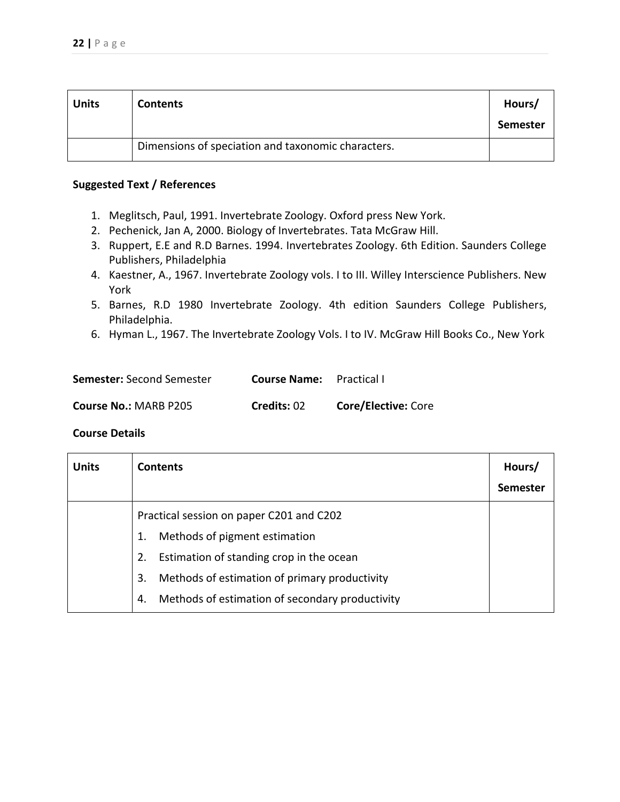| <b>Units</b> | <b>Contents</b>                                    | Hours/<br>Semester |
|--------------|----------------------------------------------------|--------------------|
|              | Dimensions of speciation and taxonomic characters. |                    |

- 1. Meglitsch, Paul, 1991. Invertebrate Zoology. Oxford press New York.
- 2. Pechenick, Jan A, 2000. Biology of Invertebrates. Tata McGraw Hill.
- 3. Ruppert, E.E and R.D Barnes. 1994. Invertebrates Zoology. 6th Edition. Saunders College Publishers, Philadelphia
- 4. Kaestner, A., 1967. Invertebrate Zoology vols. I to III. Willey Interscience Publishers. New York
- 5. Barnes, R.D 1980 Invertebrate Zoology. 4th edition Saunders College Publishers, Philadelphia.
- 6. Hyman L., 1967. The Invertebrate Zoology Vols. I to IV. McGraw Hill Books Co., New York

| <b>Semester: Second Semester</b> | <b>Course Name:</b> Practical I |                            |
|----------------------------------|---------------------------------|----------------------------|
| <b>Course No.: MARB P205</b>     | Credits: 02                     | <b>Core/Elective: Core</b> |

| <b>Units</b> | <b>Contents</b>                                       | Hours/          |
|--------------|-------------------------------------------------------|-----------------|
|              |                                                       | <b>Semester</b> |
|              | Practical session on paper C201 and C202              |                 |
|              | Methods of pigment estimation<br>1.                   |                 |
|              | Estimation of standing crop in the ocean<br>2.        |                 |
|              | Methods of estimation of primary productivity<br>3.   |                 |
|              | Methods of estimation of secondary productivity<br>4. |                 |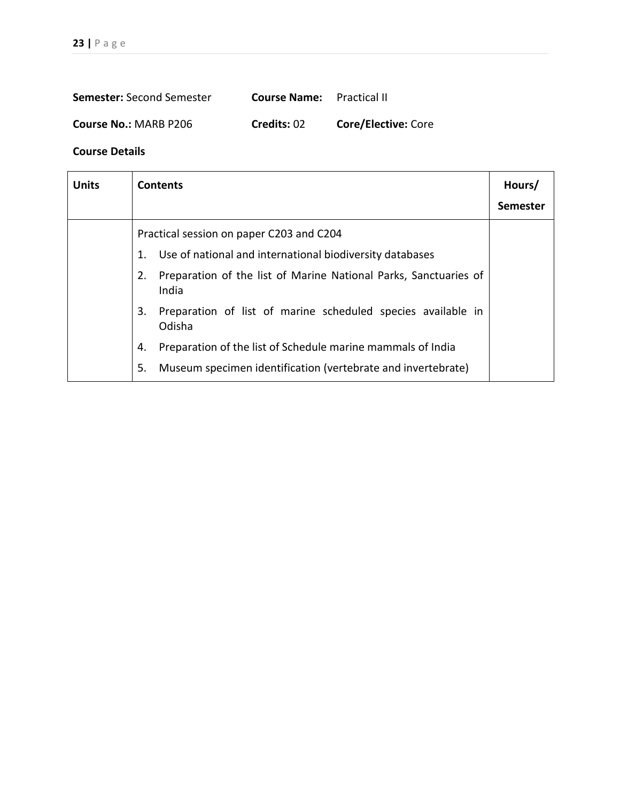| <b>Semester:</b> Second Semester | <b>Course Name:</b> Practical II |                            |
|----------------------------------|----------------------------------|----------------------------|
| <b>Course No.: MARB P206</b>     | Credits: 02                      | <b>Core/Elective: Core</b> |

| <b>Units</b> | <b>Contents</b>                                                                 | Hours/<br><b>Semester</b> |
|--------------|---------------------------------------------------------------------------------|---------------------------|
|              | Practical session on paper C203 and C204                                        |                           |
|              | 1. Use of national and international biodiversity databases                     |                           |
|              | 2.<br>Preparation of the list of Marine National Parks, Sanctuaries of<br>India |                           |
|              | Preparation of list of marine scheduled species available in<br>3.<br>Odisha    |                           |
|              | Preparation of the list of Schedule marine mammals of India<br>4.               |                           |
|              | Museum specimen identification (vertebrate and invertebrate)<br>5.              |                           |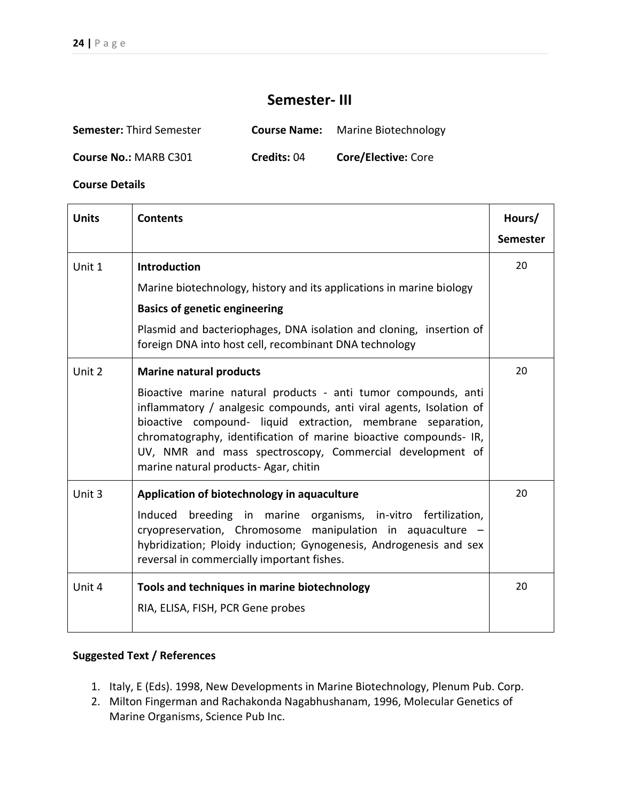# **Semester- III**

| <b>Semester: Third Semester</b> | <b>Course Name:</b> | <b>Marine Biotechnology</b> |
|---------------------------------|---------------------|-----------------------------|
| <b>Course No.: MARB C301</b>    | Credits: 04         | <b>Core/Elective: Core</b>  |

**Course Details** 

| <b>Units</b> | <b>Contents</b>                                                                                                                                                                                                                                                                                                                                                               | Hours/          |
|--------------|-------------------------------------------------------------------------------------------------------------------------------------------------------------------------------------------------------------------------------------------------------------------------------------------------------------------------------------------------------------------------------|-----------------|
|              |                                                                                                                                                                                                                                                                                                                                                                               | <b>Semester</b> |
| Unit 1       | <b>Introduction</b>                                                                                                                                                                                                                                                                                                                                                           | 20              |
|              | Marine biotechnology, history and its applications in marine biology                                                                                                                                                                                                                                                                                                          |                 |
|              | <b>Basics of genetic engineering</b>                                                                                                                                                                                                                                                                                                                                          |                 |
|              | Plasmid and bacteriophages, DNA isolation and cloning, insertion of<br>foreign DNA into host cell, recombinant DNA technology                                                                                                                                                                                                                                                 |                 |
| Unit 2       | <b>Marine natural products</b>                                                                                                                                                                                                                                                                                                                                                | 20              |
|              | Bioactive marine natural products - anti tumor compounds, anti<br>inflammatory / analgesic compounds, anti viral agents, Isolation of<br>bioactive compound- liquid extraction, membrane separation,<br>chromatography, identification of marine bioactive compounds- IR,<br>UV, NMR and mass spectroscopy, Commercial development of<br>marine natural products-Agar, chitin |                 |
| Unit 3       | Application of biotechnology in aquaculture<br>Induced breeding in marine organisms, in-vitro fertilization,<br>cryopreservation, Chromosome manipulation in aquaculture -<br>hybridization; Ploidy induction; Gynogenesis, Androgenesis and sex<br>reversal in commercially important fishes.                                                                                | 20              |
| Unit 4       | Tools and techniques in marine biotechnology<br>RIA, ELISA, FISH, PCR Gene probes                                                                                                                                                                                                                                                                                             | 20              |

- 1. Italy, E (Eds). 1998, New Developments in Marine Biotechnology, Plenum Pub. Corp.
- 2. Milton Fingerman and Rachakonda Nagabhushanam, 1996, Molecular Genetics of Marine Organisms, Science Pub Inc.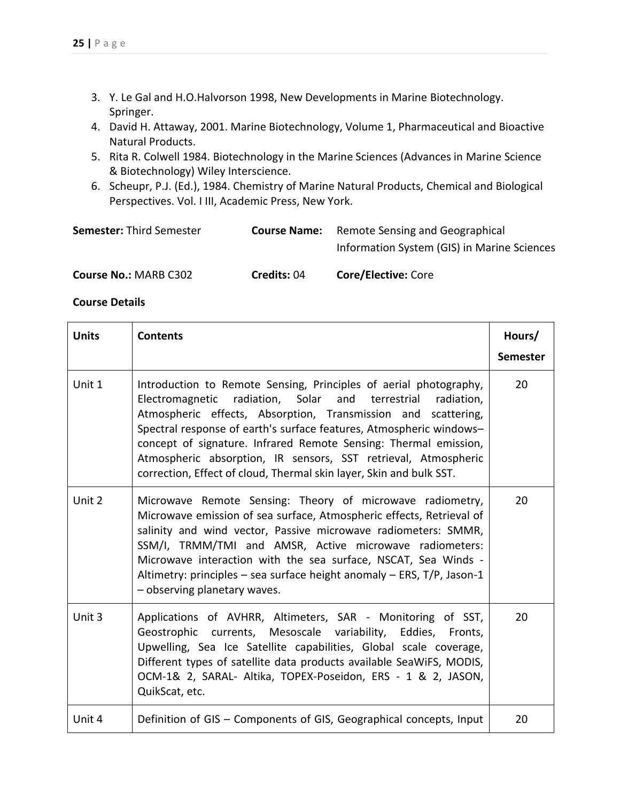- 3. Y. Le Gal and H.O.Halvorson 1998, New Developments in Marine Biotechnology. Springer.
- 4. David H. Attaway, 2001. Marine Biotechnology, Volume 1, Pharmaceutical and Bioactive Natural Products.
- 5. Rita R. Colwell 1984. Biotechnology in the Marine Sciences (Advances in Marine Science & Biotechnology) Wiley Interscience.
- 6. Scheupr, P.J. (Ed.), 1984. Chemistry of Marine Natural Products, Chemical and Biological Perspectives. Vol. I III, Academic Press, New York.

| <b>Course No.: MARB C302</b>    | <b>Credits: 04</b>  | <b>Core/Elective: Core</b>                                                     |
|---------------------------------|---------------------|--------------------------------------------------------------------------------|
| <b>Semester: Third Semester</b> | <b>Course Name:</b> | Remote Sensing and Geographical<br>Information System (GIS) in Marine Sciences |

| <b>Units</b> | <b>Contents</b>                                                                                                                                                                                                                                                                                                                                                                                                                                                                          | Hours/<br><b>Semester</b> |
|--------------|------------------------------------------------------------------------------------------------------------------------------------------------------------------------------------------------------------------------------------------------------------------------------------------------------------------------------------------------------------------------------------------------------------------------------------------------------------------------------------------|---------------------------|
| Unit 1       | Introduction to Remote Sensing, Principles of aerial photography,<br>Electromagnetic radiation, Solar and terrestrial<br>radiation,<br>Atmospheric effects, Absorption, Transmission and scattering,<br>Spectral response of earth's surface features, Atmospheric windows-<br>concept of signature. Infrared Remote Sensing: Thermal emission,<br>Atmospheric absorption, IR sensors, SST retrieval, Atmospheric<br>correction, Effect of cloud, Thermal skin layer, Skin and bulk SST. | 20                        |
| Unit 2       | Microwave Remote Sensing: Theory of microwave radiometry,<br>Microwave emission of sea surface, Atmospheric effects, Retrieval of<br>salinity and wind vector, Passive microwave radiometers: SMMR,<br>SSM/I, TRMM/TMI and AMSR, Active microwave radiometers:<br>Microwave interaction with the sea surface, NSCAT, Sea Winds -<br>Altimetry: principles - sea surface height anomaly - ERS, T/P, Jason-1<br>- observing planetary waves.                                               | 20                        |
| Unit 3       | Applications of AVHRR, Altimeters, SAR - Monitoring of SST,<br>Geostrophic currents, Mesoscale variability, Eddies, Fronts,<br>Upwelling, Sea Ice Satellite capabilities, Global scale coverage,<br>Different types of satellite data products available SeaWiFS, MODIS,<br>OCM-1& 2, SARAL- Altika, TOPEX-Poseidon, ERS - 1 & 2, JASON,<br>QuikScat, etc.                                                                                                                               | 20                        |
| Unit 4       | Definition of GIS - Components of GIS, Geographical concepts, Input                                                                                                                                                                                                                                                                                                                                                                                                                      | 20                        |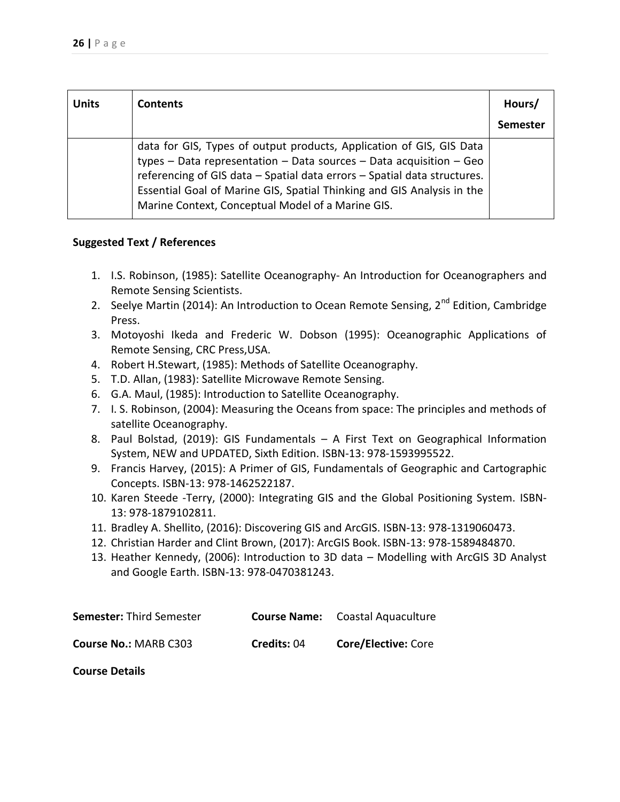| <b>Units</b> | <b>Contents</b>                                                                                                                                                                                                                                                                                                                                                | Hours/<br>Semester |
|--------------|----------------------------------------------------------------------------------------------------------------------------------------------------------------------------------------------------------------------------------------------------------------------------------------------------------------------------------------------------------------|--------------------|
|              | data for GIS, Types of output products, Application of GIS, GIS Data<br>types $-$ Data representation $-$ Data sources $-$ Data acquisition $-$ Geo<br>referencing of GIS data - Spatial data errors - Spatial data structures.<br>Essential Goal of Marine GIS, Spatial Thinking and GIS Analysis in the<br>Marine Context, Conceptual Model of a Marine GIS. |                    |

- 1. I.S. Robinson, (1985): Satellite Oceanography- An Introduction for Oceanographers and Remote Sensing Scientists.
- 2. Seelye Martin (2014): An Introduction to Ocean Remote Sensing, 2<sup>nd</sup> Edition, Cambridge Press.
- 3. Motoyoshi Ikeda and Frederic W. Dobson (1995): Oceanographic Applications of Remote Sensing, CRC Press,USA.
- 4. Robert H.Stewart, (1985): Methods of Satellite Oceanography.
- 5. T.D. Allan, (1983): Satellite Microwave Remote Sensing.
- 6. G.A. Maul, (1985): Introduction to Satellite Oceanography.
- 7. I. S. Robinson, (2004): Measuring the Oceans from space: The principles and methods of satellite Oceanography.
- 8. Paul Bolstad, (2019): GIS Fundamentals A First Text on Geographical Information System, NEW and UPDATED, Sixth Edition. ISBN-13: 978-1593995522.
- 9. Francis Harvey, (2015): A Primer of GIS, Fundamentals of Geographic and Cartographic Concepts. ISBN-13: 978-1462522187.
- 10. Karen Steede -Terry, (2000): Integrating GIS and the Global Positioning System. ISBN-13: 978-1879102811.
- 11. Bradley A. Shellito, (2016): Discovering GIS and ArcGIS. ISBN-13: 978-1319060473.
- 12. Christian Harder and Clint Brown, (2017): ArcGIS Book. ISBN-13: 978-1589484870.
- 13. Heather Kennedy, (2006): Introduction to 3D data Modelling with ArcGIS 3D Analyst and Google Earth. ISBN-13: 978-0470381243.

| <b>Semester: Third Semester</b> |             | <b>Course Name:</b> Coastal Aquaculture |
|---------------------------------|-------------|-----------------------------------------|
| <b>Course No.: MARB C303</b>    | Credits: 04 | <b>Core/Elective: Core</b>              |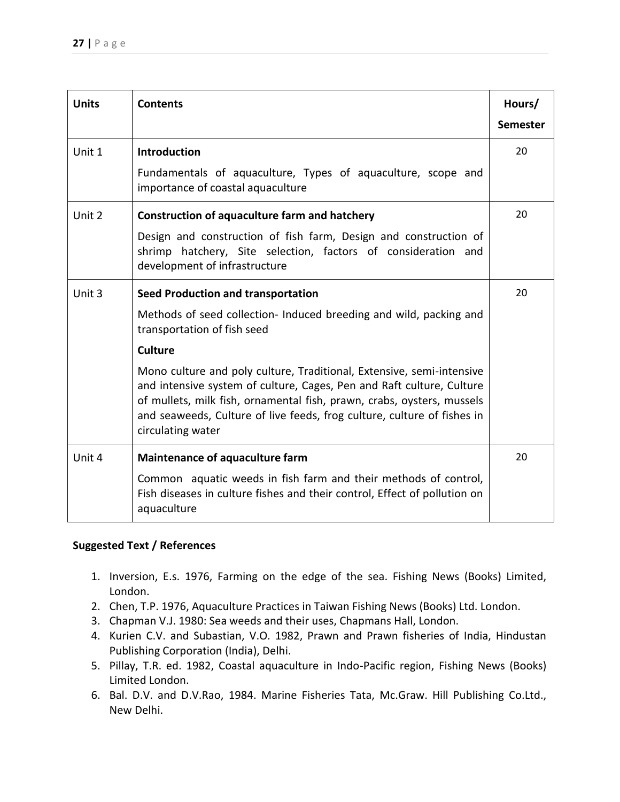| <b>Units</b> | <b>Contents</b>                                                                                                                                                                                                                                                                                                          | Hours/          |
|--------------|--------------------------------------------------------------------------------------------------------------------------------------------------------------------------------------------------------------------------------------------------------------------------------------------------------------------------|-----------------|
|              |                                                                                                                                                                                                                                                                                                                          | <b>Semester</b> |
| Unit 1       | <b>Introduction</b>                                                                                                                                                                                                                                                                                                      | 20              |
|              | Fundamentals of aquaculture, Types of aquaculture, scope and<br>importance of coastal aquaculture                                                                                                                                                                                                                        |                 |
| Unit 2       | <b>Construction of aquaculture farm and hatchery</b>                                                                                                                                                                                                                                                                     | 20              |
|              | Design and construction of fish farm, Design and construction of<br>hatchery, Site selection, factors of consideration and<br>shrimp<br>development of infrastructure                                                                                                                                                    |                 |
| Unit 3       | <b>Seed Production and transportation</b>                                                                                                                                                                                                                                                                                | 20              |
|              | Methods of seed collection- Induced breeding and wild, packing and<br>transportation of fish seed                                                                                                                                                                                                                        |                 |
|              | <b>Culture</b>                                                                                                                                                                                                                                                                                                           |                 |
|              | Mono culture and poly culture, Traditional, Extensive, semi-intensive<br>and intensive system of culture, Cages, Pen and Raft culture, Culture<br>of mullets, milk fish, ornamental fish, prawn, crabs, oysters, mussels<br>and seaweeds, Culture of live feeds, frog culture, culture of fishes in<br>circulating water |                 |
| Unit 4       | <b>Maintenance of aquaculture farm</b>                                                                                                                                                                                                                                                                                   | 20              |
|              | Common aquatic weeds in fish farm and their methods of control,<br>Fish diseases in culture fishes and their control, Effect of pollution on<br>aquaculture                                                                                                                                                              |                 |

- 1. Inversion, E.s. 1976, Farming on the edge of the sea. Fishing News (Books) Limited, London.
- 2. Chen, T.P. 1976, Aquaculture Practices in Taiwan Fishing News (Books) Ltd. London.
- 3. Chapman V.J. 1980: Sea weeds and their uses, Chapmans Hall, London.
- 4. Kurien C.V. and Subastian, V.O. 1982, Prawn and Prawn fisheries of India, Hindustan Publishing Corporation (India), Delhi.
- 5. Pillay, T.R. ed. 1982, Coastal aquaculture in Indo-Pacific region, Fishing News (Books) Limited London.
- 6. Bal. D.V. and D.V.Rao, 1984. Marine Fisheries Tata, Mc.Graw. Hill Publishing Co.Ltd., New Delhi.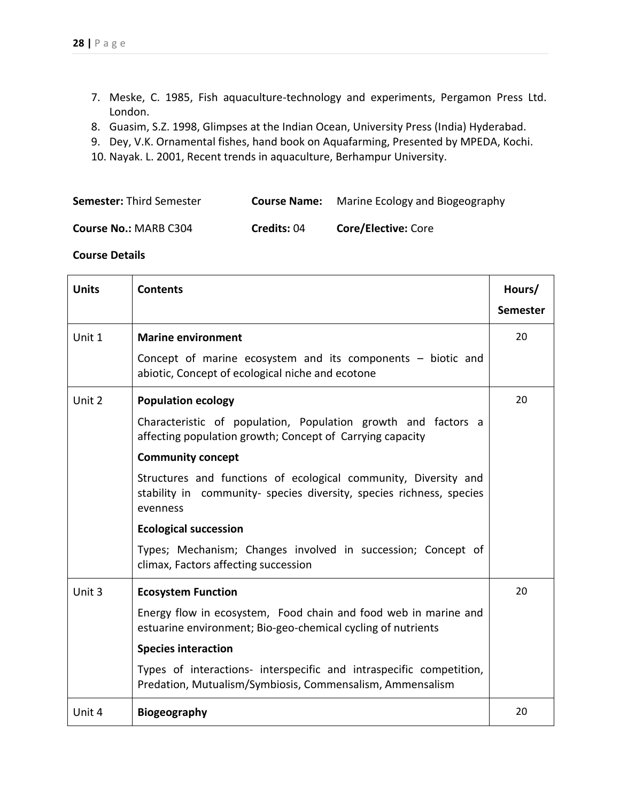- 7. Meske, C. 1985, Fish aquaculture-technology and experiments, Pergamon Press Ltd. London.
- 8. Guasim, S.Z. 1998, Glimpses at the Indian Ocean, University Press (India) Hyderabad.
- 9. Dey, V.K. Ornamental fishes, hand book on Aquafarming, Presented by MPEDA, Kochi.
- 10. Nayak. L. 2001, Recent trends in aquaculture, Berhampur University.

| <b>Semester: Third Semester</b> | <b>Course Name:</b> Marine Ecology and Biogeography |
|---------------------------------|-----------------------------------------------------|
|                                 |                                                     |

| Course No.: MARB C304 | Credits: 04 | <b>Core/Elective: Core</b> |
|-----------------------|-------------|----------------------------|
|-----------------------|-------------|----------------------------|

| <b>Units</b> | <b>Contents</b>                                                                                                                                     | Hours/<br><b>Semester</b> |
|--------------|-----------------------------------------------------------------------------------------------------------------------------------------------------|---------------------------|
| Unit 1       | <b>Marine environment</b>                                                                                                                           | 20                        |
|              | Concept of marine ecosystem and its components - biotic and<br>abiotic, Concept of ecological niche and ecotone                                     |                           |
| Unit 2       | <b>Population ecology</b>                                                                                                                           | 20                        |
|              | Characteristic of population, Population growth and factors a<br>affecting population growth; Concept of Carrying capacity                          |                           |
|              | <b>Community concept</b>                                                                                                                            |                           |
|              | Structures and functions of ecological community, Diversity and<br>stability in community- species diversity, species richness, species<br>evenness |                           |
|              | <b>Ecological succession</b>                                                                                                                        |                           |
|              | Types; Mechanism; Changes involved in succession; Concept of<br>climax, Factors affecting succession                                                |                           |
| Unit 3       | <b>Ecosystem Function</b>                                                                                                                           | 20                        |
|              | Energy flow in ecosystem, Food chain and food web in marine and<br>estuarine environment; Bio-geo-chemical cycling of nutrients                     |                           |
|              | <b>Species interaction</b>                                                                                                                          |                           |
|              | Types of interactions- interspecific and intraspecific competition,<br>Predation, Mutualism/Symbiosis, Commensalism, Ammensalism                    |                           |
| Unit 4       | <b>Biogeography</b>                                                                                                                                 | 20                        |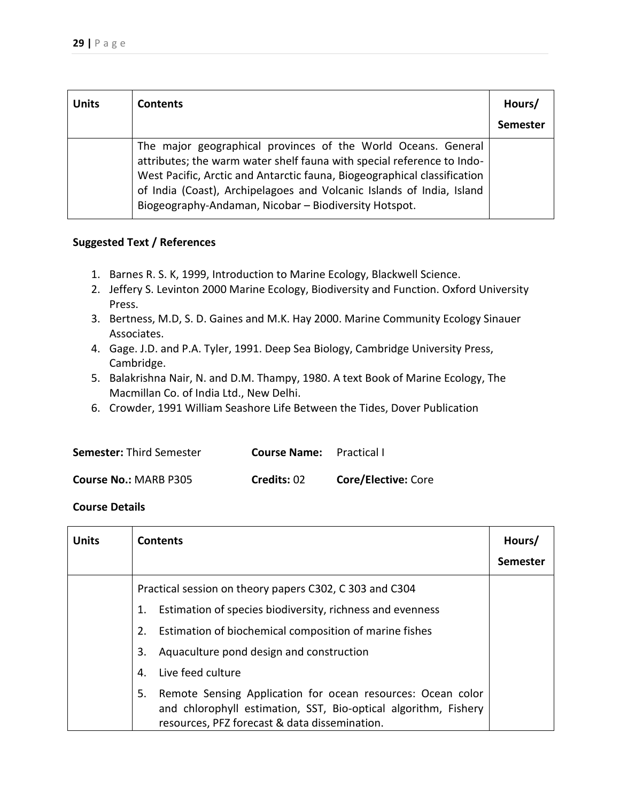| <b>Units</b> | <b>Contents</b>                                                                                                                                                                                                                                                                                                                                       | Hours/<br><b>Semester</b> |
|--------------|-------------------------------------------------------------------------------------------------------------------------------------------------------------------------------------------------------------------------------------------------------------------------------------------------------------------------------------------------------|---------------------------|
|              | The major geographical provinces of the World Oceans. General<br>attributes; the warm water shelf fauna with special reference to Indo-<br>West Pacific, Arctic and Antarctic fauna, Biogeographical classification<br>of India (Coast), Archipelagoes and Volcanic Islands of India, Island<br>Biogeography-Andaman, Nicobar - Biodiversity Hotspot. |                           |

- 1. Barnes R. S. K, 1999, Introduction to Marine Ecology, Blackwell Science.
- 2. Jeffery S. Levinton 2000 Marine Ecology, Biodiversity and Function. Oxford University Press.
- 3. Bertness, M.D, S. D. Gaines and M.K. Hay 2000. Marine Community Ecology Sinauer Associates.
- 4. Gage. J.D. and P.A. Tyler, 1991. Deep Sea Biology, Cambridge University Press, Cambridge.
- 5. Balakrishna Nair, N. and D.M. Thampy, 1980. A text Book of Marine Ecology, The Macmillan Co. of India Ltd., New Delhi.
- 6. Crowder, 1991 William Seashore Life Between the Tides, Dover Publication

| <b>Semester: Third Semester</b> | <b>Course Name:</b> Practical I |                            |
|---------------------------------|---------------------------------|----------------------------|
| <b>Course No.: MARB P305</b>    | Credits: 02                     | <b>Core/Elective: Core</b> |

| <b>Units</b> | <b>Contents</b>                                                   | Hours/          |
|--------------|-------------------------------------------------------------------|-----------------|
|              |                                                                   | <b>Semester</b> |
|              | Practical session on theory papers C302, C303 and C304            |                 |
|              | Estimation of species biodiversity, richness and evenness<br>1.   |                 |
|              | Estimation of biochemical composition of marine fishes<br>2.      |                 |
|              | Aquaculture pond design and construction<br>3.                    |                 |
|              | Live feed culture<br>4.                                           |                 |
|              | Remote Sensing Application for ocean resources: Ocean color<br>5. |                 |
|              | and chlorophyll estimation, SST, Bio-optical algorithm, Fishery   |                 |
|              | resources, PFZ forecast & data dissemination.                     |                 |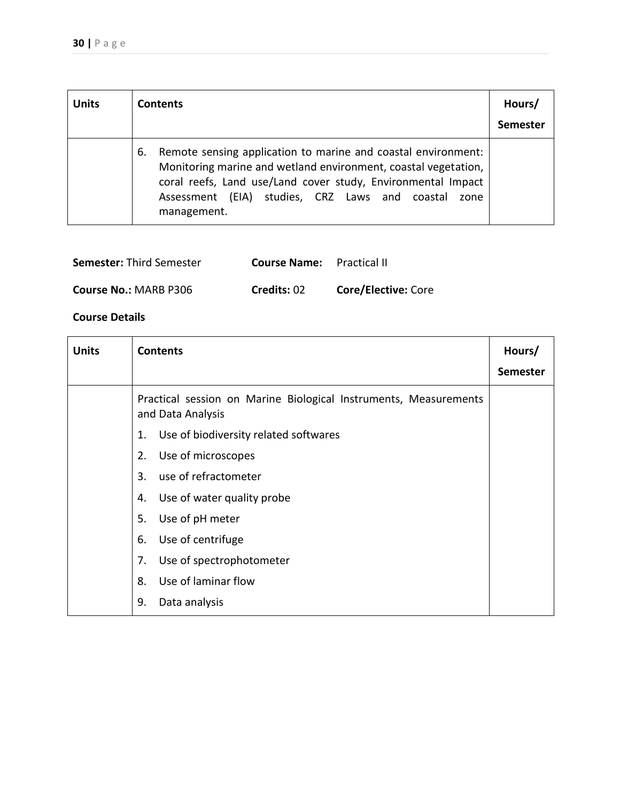| <b>Units</b> | <b>Contents</b>                                                                                                                                                                                                                                                                   | Hours/<br><b>Semester</b> |
|--------------|-----------------------------------------------------------------------------------------------------------------------------------------------------------------------------------------------------------------------------------------------------------------------------------|---------------------------|
|              | Remote sensing application to marine and coastal environment:<br>6.<br>Monitoring marine and wetland environment, coastal vegetation,<br>coral reefs, Land use/Land cover study, Environmental Impact<br>(EIA) studies, CRZ Laws and coastal<br>Assessment<br>zone<br>management. |                           |

| <b>Semester: Third Semester</b> | <b>Course Name:</b> Practical II |                            |
|---------------------------------|----------------------------------|----------------------------|
| <b>Course No.: MARB P306</b>    | Credits: 02                      | <b>Core/Elective: Core</b> |

| <b>Units</b> | <b>Contents</b>                                                                       | Hours/          |
|--------------|---------------------------------------------------------------------------------------|-----------------|
|              |                                                                                       | <b>Semester</b> |
|              | Practical session on Marine Biological Instruments, Measurements<br>and Data Analysis |                 |
|              | Use of biodiversity related softwares<br>1.                                           |                 |
|              | Use of microscopes<br>2.                                                              |                 |
|              | use of refractometer<br>3.                                                            |                 |
|              | Use of water quality probe<br>4.                                                      |                 |
|              | 5.<br>Use of pH meter                                                                 |                 |
|              | Use of centrifuge<br>6.                                                               |                 |
|              | Use of spectrophotometer<br>7.                                                        |                 |
|              | Use of laminar flow<br>8.                                                             |                 |
|              | 9.<br>Data analysis                                                                   |                 |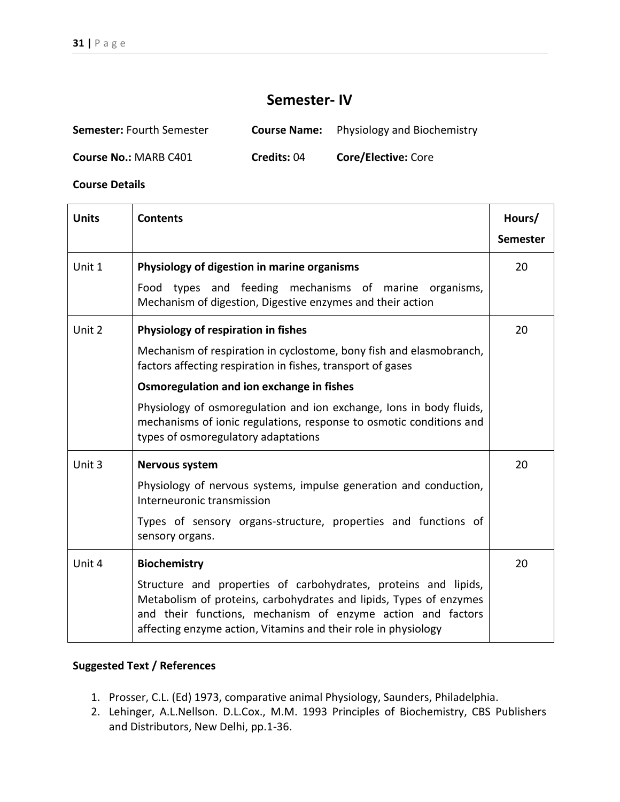# **Semester- IV**

| <b>Semester:</b> Fourth Semester |             | <b>Course Name:</b> Physiology and Biochemistry |
|----------------------------------|-------------|-------------------------------------------------|
| <b>Course No.: MARB C401</b>     | Credits: 04 | <b>Core/Elective: Core</b>                      |

**Course Details** 

| <b>Units</b> | <b>Contents</b>                                                                                                                                                                                                                                                        | Hours/          |
|--------------|------------------------------------------------------------------------------------------------------------------------------------------------------------------------------------------------------------------------------------------------------------------------|-----------------|
|              |                                                                                                                                                                                                                                                                        | <b>Semester</b> |
| Unit 1       | Physiology of digestion in marine organisms                                                                                                                                                                                                                            | 20              |
|              | Food types and feeding mechanisms of marine<br>organisms,<br>Mechanism of digestion, Digestive enzymes and their action                                                                                                                                                |                 |
| Unit 2       | Physiology of respiration in fishes                                                                                                                                                                                                                                    | 20              |
|              | Mechanism of respiration in cyclostome, bony fish and elasmobranch,<br>factors affecting respiration in fishes, transport of gases                                                                                                                                     |                 |
|              | Osmoregulation and ion exchange in fishes                                                                                                                                                                                                                              |                 |
|              | Physiology of osmoregulation and ion exchange, Ions in body fluids,<br>mechanisms of ionic regulations, response to osmotic conditions and<br>types of osmoregulatory adaptations                                                                                      |                 |
| Unit 3       | <b>Nervous system</b>                                                                                                                                                                                                                                                  | 20              |
|              | Physiology of nervous systems, impulse generation and conduction,<br>Interneuronic transmission                                                                                                                                                                        |                 |
|              | Types of sensory organs-structure, properties and functions of<br>sensory organs.                                                                                                                                                                                      |                 |
| Unit 4       | <b>Biochemistry</b>                                                                                                                                                                                                                                                    | 20              |
|              | Structure and properties of carbohydrates, proteins and lipids,<br>Metabolism of proteins, carbohydrates and lipids, Types of enzymes<br>and their functions, mechanism of enzyme action and factors<br>affecting enzyme action, Vitamins and their role in physiology |                 |

- 1. Prosser, C.L. (Ed) 1973, comparative animal Physiology, Saunders, Philadelphia.
- 2. Lehinger, A.L.Nellson. D.L.Cox., M.M. 1993 Principles of Biochemistry, CBS Publishers and Distributors, New Delhi, pp.1-36.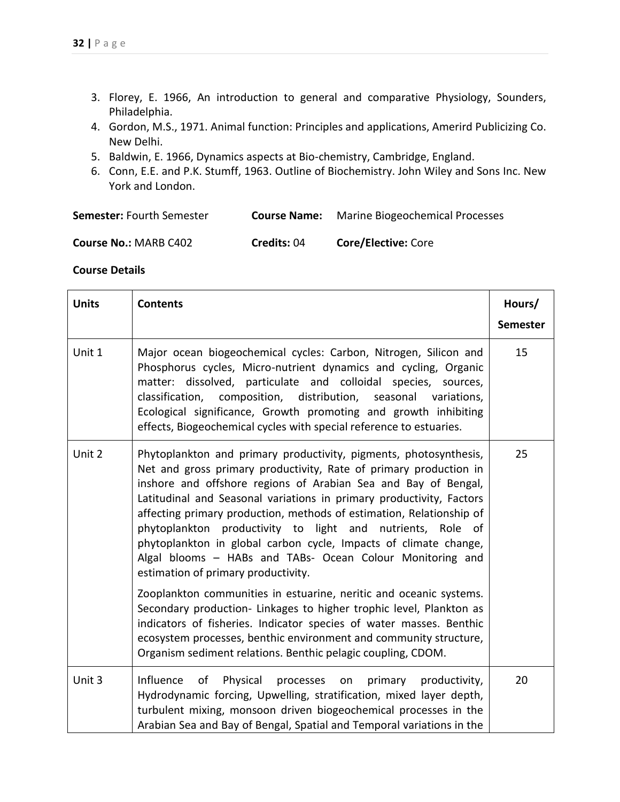- 3. Florey, E. 1966, An introduction to general and comparative Physiology, Sounders, Philadelphia.
- 4. Gordon, M.S., 1971. Animal function: Principles and applications, Amerird Publicizing Co. New Delhi.
- 5. Baldwin, E. 1966, Dynamics aspects at Bio-chemistry, Cambridge, England.
- 6. Conn, E.E. and P.K. Stumff, 1963. Outline of Biochemistry. John Wiley and Sons Inc. New York and London.

| <b>Semester: Fourth Semester</b><br><b>Course Name:</b> | <b>Marine Biogeochemical Processes</b> |
|---------------------------------------------------------|----------------------------------------|
|---------------------------------------------------------|----------------------------------------|

| <b>Course No.: MARB C402</b> | Credits: 04 | Core/Elective: Core |
|------------------------------|-------------|---------------------|
|------------------------------|-------------|---------------------|

| <b>Units</b> | <b>Contents</b>                                                                                                                                                                                                                                                                                                                                                                                                                                                                                                                                                                                   | Hours/<br><b>Semester</b> |
|--------------|---------------------------------------------------------------------------------------------------------------------------------------------------------------------------------------------------------------------------------------------------------------------------------------------------------------------------------------------------------------------------------------------------------------------------------------------------------------------------------------------------------------------------------------------------------------------------------------------------|---------------------------|
| Unit 1       | Major ocean biogeochemical cycles: Carbon, Nitrogen, Silicon and<br>Phosphorus cycles, Micro-nutrient dynamics and cycling, Organic<br>matter: dissolved, particulate and colloidal species, sources,<br>classification, composition, distribution, seasonal<br>variations,<br>Ecological significance, Growth promoting and growth inhibiting<br>effects, Biogeochemical cycles with special reference to estuaries.                                                                                                                                                                             | 15                        |
| Unit 2       | Phytoplankton and primary productivity, pigments, photosynthesis,<br>Net and gross primary productivity, Rate of primary production in<br>inshore and offshore regions of Arabian Sea and Bay of Bengal,<br>Latitudinal and Seasonal variations in primary productivity, Factors<br>affecting primary production, methods of estimation, Relationship of<br>phytoplankton productivity to light and<br>nutrients, Role of<br>phytoplankton in global carbon cycle, Impacts of climate change,<br>Algal blooms - HABs and TABs- Ocean Colour Monitoring and<br>estimation of primary productivity. | 25                        |
|              | Zooplankton communities in estuarine, neritic and oceanic systems.<br>Secondary production- Linkages to higher trophic level, Plankton as<br>indicators of fisheries. Indicator species of water masses. Benthic<br>ecosystem processes, benthic environment and community structure,<br>Organism sediment relations. Benthic pelagic coupling, CDOM.                                                                                                                                                                                                                                             |                           |
| Unit 3       | Influence<br>Physical<br>primary<br>of<br>processes<br>productivity,<br>on<br>Hydrodynamic forcing, Upwelling, stratification, mixed layer depth,<br>turbulent mixing, monsoon driven biogeochemical processes in the<br>Arabian Sea and Bay of Bengal, Spatial and Temporal variations in the                                                                                                                                                                                                                                                                                                    | 20                        |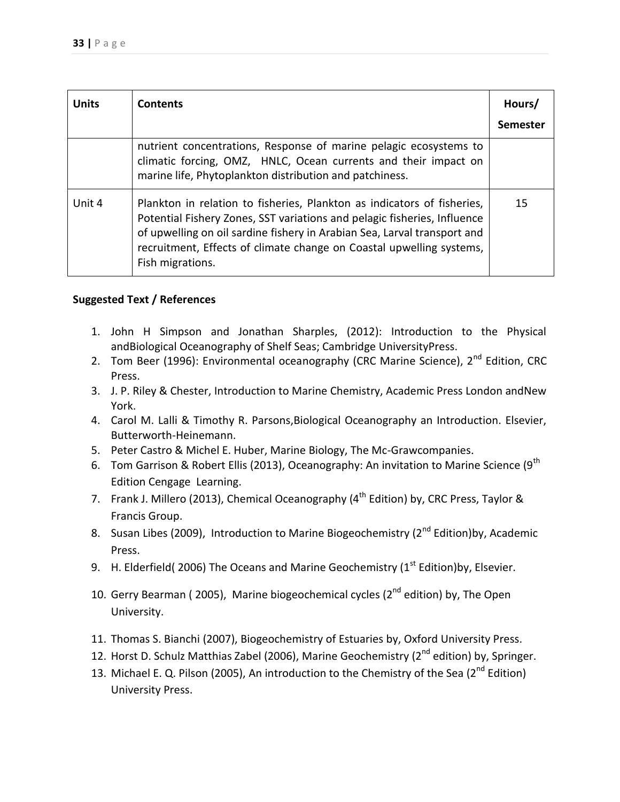| <b>Units</b> | <b>Contents</b>                                                                                                                                                                                                                                                                                                             | Hours/<br>Semester |
|--------------|-----------------------------------------------------------------------------------------------------------------------------------------------------------------------------------------------------------------------------------------------------------------------------------------------------------------------------|--------------------|
|              | nutrient concentrations, Response of marine pelagic ecosystems to<br>climatic forcing, OMZ, HNLC, Ocean currents and their impact on<br>marine life, Phytoplankton distribution and patchiness.                                                                                                                             |                    |
| Unit 4       | Plankton in relation to fisheries, Plankton as indicators of fisheries,<br>Potential Fishery Zones, SST variations and pelagic fisheries, Influence<br>of upwelling on oil sardine fishery in Arabian Sea, Larval transport and<br>recruitment, Effects of climate change on Coastal upwelling systems,<br>Fish migrations. | 15                 |

- 1. John H Simpson and Jonathan Sharples, (2012): Introduction to the Physical andBiological Oceanography of Shelf Seas; Cambridge UniversityPress.
- 2. Tom Beer (1996): Environmental oceanography (CRC Marine Science), 2<sup>nd</sup> Edition, CRC Press.
- 3. J. P. Riley & Chester, Introduction to Marine Chemistry, Academic Press London andNew York.
- 4. Carol M. Lalli & Timothy R. Parsons,Biological Oceanography an Introduction. Elsevier, Butterworth-Heinemann.
- 5. Peter Castro & Michel E. Huber, Marine Biology, The Mc-Grawcompanies.
- 6. Tom Garrison & Robert Ellis (2013), Oceanography: An invitation to Marine Science (9<sup>th</sup> Edition Cengage Learning.
- 7. Frank J. Millero (2013), Chemical Oceanography (4<sup>th</sup> Edition) by, CRC Press, Taylor & Francis Group.
- 8. Susan Libes (2009), Introduction to Marine Biogeochemistry (2<sup>nd</sup> Edition)by, Academic Press.
- 9. H. Elderfield( 2006) The Oceans and Marine Geochemistry ( $1<sup>st</sup>$  Edition)by, Elsevier.
- 10. Gerry Bearman ( 2005), Marine biogeochemical cycles ( $2^{nd}$  edition) by, The Open University.
- 11. Thomas S. Bianchi (2007), Biogeochemistry of Estuaries by, Oxford University Press.
- 12. Horst D. Schulz Matthias Zabel (2006), Marine Geochemistry (2<sup>nd</sup> edition) by, Springer.
- 13. Michael E. Q. Pilson (2005), An introduction to the Chemistry of the Sea (2<sup>nd</sup> Edition) University Press.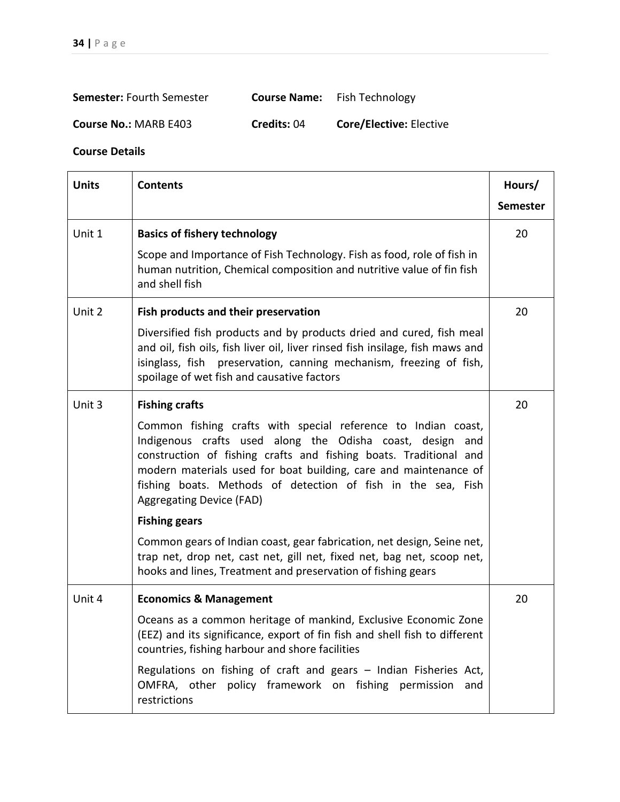| <b>Semester: Fourth Semester</b> | <b>Course Name:</b> Fish Technology |
|----------------------------------|-------------------------------------|
|                                  |                                     |

**Course No.:** MARB E403 **Credits:** 04 **Core/Elective:** Elective

| <b>Units</b> | <b>Contents</b>                                                                                                                                                                                                                                                                                                                                                           | Hours/<br><b>Semester</b> |
|--------------|---------------------------------------------------------------------------------------------------------------------------------------------------------------------------------------------------------------------------------------------------------------------------------------------------------------------------------------------------------------------------|---------------------------|
| Unit 1       | <b>Basics of fishery technology</b>                                                                                                                                                                                                                                                                                                                                       | 20                        |
|              | Scope and Importance of Fish Technology. Fish as food, role of fish in<br>human nutrition, Chemical composition and nutritive value of fin fish<br>and shell fish                                                                                                                                                                                                         |                           |
| Unit 2       | Fish products and their preservation                                                                                                                                                                                                                                                                                                                                      | 20                        |
|              | Diversified fish products and by products dried and cured, fish meal<br>and oil, fish oils, fish liver oil, liver rinsed fish insilage, fish maws and<br>isinglass, fish preservation, canning mechanism, freezing of fish,<br>spoilage of wet fish and causative factors                                                                                                 |                           |
| Unit 3       | <b>Fishing crafts</b>                                                                                                                                                                                                                                                                                                                                                     | 20                        |
|              | Common fishing crafts with special reference to Indian coast,<br>Indigenous crafts used along the Odisha coast, design<br>and<br>construction of fishing crafts and fishing boats. Traditional and<br>modern materials used for boat building, care and maintenance of<br>fishing boats. Methods of detection of fish in the sea, Fish<br><b>Aggregating Device (FAD)</b> |                           |
|              | <b>Fishing gears</b>                                                                                                                                                                                                                                                                                                                                                      |                           |
|              | Common gears of Indian coast, gear fabrication, net design, Seine net,<br>trap net, drop net, cast net, gill net, fixed net, bag net, scoop net,<br>hooks and lines, Treatment and preservation of fishing gears                                                                                                                                                          |                           |
| Unit 4       | <b>Economics &amp; Management</b>                                                                                                                                                                                                                                                                                                                                         | 20                        |
|              | Oceans as a common heritage of mankind, Exclusive Economic Zone<br>(EEZ) and its significance, export of fin fish and shell fish to different<br>countries, fishing harbour and shore facilities                                                                                                                                                                          |                           |
|              | Regulations on fishing of craft and gears - Indian Fisheries Act,<br>OMFRA, other policy framework on fishing permission<br>and<br>restrictions                                                                                                                                                                                                                           |                           |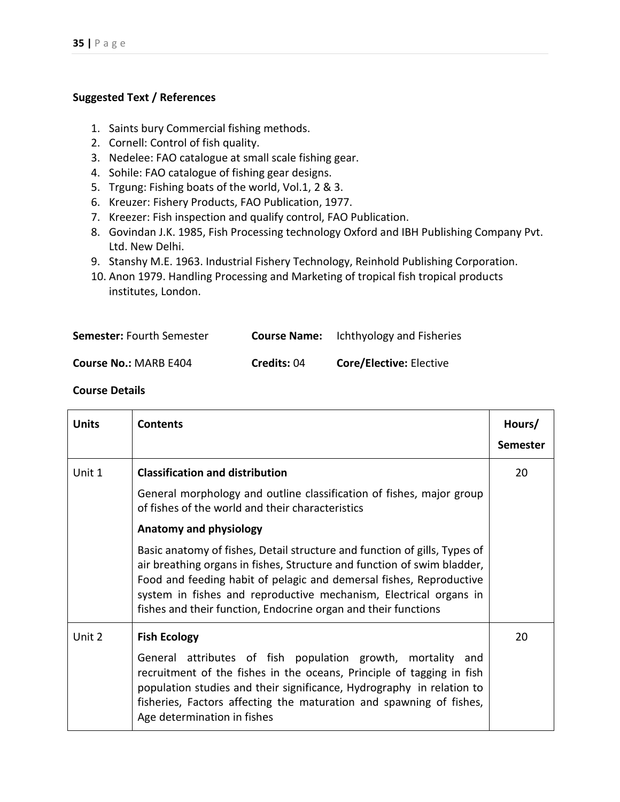- 1. Saints bury Commercial fishing methods.
- 2. Cornell: Control of fish quality.
- 3. Nedelee: FAO catalogue at small scale fishing gear.
- 4. Sohile: FAO catalogue of fishing gear designs.
- 5. Trgung: Fishing boats of the world, Vol.1, 2 & 3.
- 6. Kreuzer: Fishery Products, FAO Publication, 1977.
- 7. Kreezer: Fish inspection and qualify control, FAO Publication.
- 8. Govindan J.K. 1985, Fish Processing technology Oxford and IBH Publishing Company Pvt. Ltd. New Delhi.
- 9. Stanshy M.E. 1963. Industrial Fishery Technology, Reinhold Publishing Corporation.
- 10. Anon 1979. Handling Processing and Marketing of tropical fish tropical products institutes, London.

| <b>Semester: Fourth Semester</b> | <b>Course Name:</b> | <b>Ichthyology and Fisheries</b> |
|----------------------------------|---------------------|----------------------------------|
| <b>Course No.: MARB E404</b>     | Credits: 04         | <b>Core/Elective: Elective</b>   |

| <b>Units</b> | <b>Contents</b>                                                                                                                                                                                                                                                                                                                                                    | Hours/          |
|--------------|--------------------------------------------------------------------------------------------------------------------------------------------------------------------------------------------------------------------------------------------------------------------------------------------------------------------------------------------------------------------|-----------------|
|              |                                                                                                                                                                                                                                                                                                                                                                    | <b>Semester</b> |
| Unit 1       | <b>Classification and distribution</b>                                                                                                                                                                                                                                                                                                                             | 20              |
|              | General morphology and outline classification of fishes, major group<br>of fishes of the world and their characteristics                                                                                                                                                                                                                                           |                 |
|              | <b>Anatomy and physiology</b>                                                                                                                                                                                                                                                                                                                                      |                 |
|              | Basic anatomy of fishes, Detail structure and function of gills, Types of<br>air breathing organs in fishes, Structure and function of swim bladder,<br>Food and feeding habit of pelagic and demersal fishes, Reproductive<br>system in fishes and reproductive mechanism, Electrical organs in<br>fishes and their function, Endocrine organ and their functions |                 |
| Unit 2       | <b>Fish Ecology</b>                                                                                                                                                                                                                                                                                                                                                | 20              |
|              | General attributes of fish population growth, mortality and<br>recruitment of the fishes in the oceans, Principle of tagging in fish<br>population studies and their significance, Hydrography in relation to<br>fisheries, Factors affecting the maturation and spawning of fishes,<br>Age determination in fishes                                                |                 |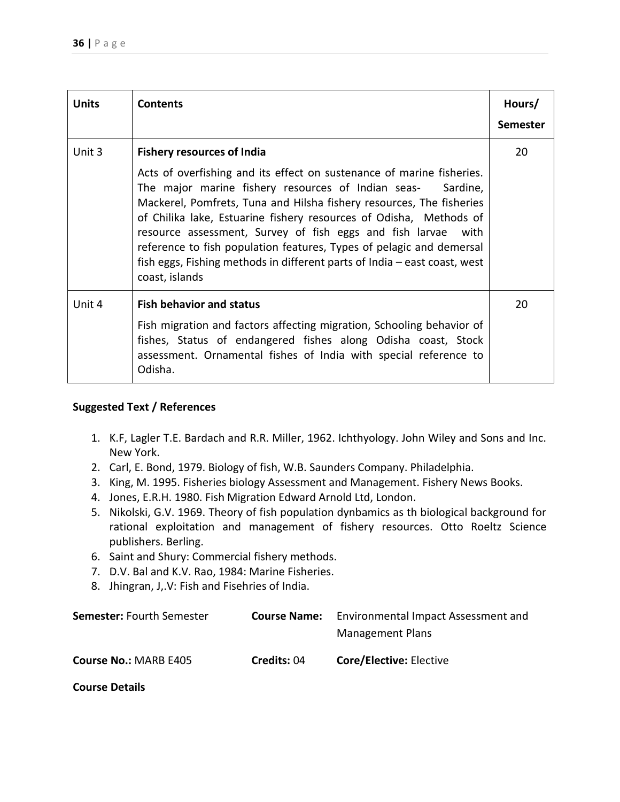| <b>Units</b> | <b>Contents</b>                                                                                                                                                                                                                                                                                                                                                                                                                                                                                                                                                       | Hours/<br><b>Semester</b> |
|--------------|-----------------------------------------------------------------------------------------------------------------------------------------------------------------------------------------------------------------------------------------------------------------------------------------------------------------------------------------------------------------------------------------------------------------------------------------------------------------------------------------------------------------------------------------------------------------------|---------------------------|
| Unit 3       | <b>Fishery resources of India</b><br>Acts of overfishing and its effect on sustenance of marine fisheries.<br>The major marine fishery resources of Indian seas-<br>Sardine,<br>Mackerel, Pomfrets, Tuna and Hilsha fishery resources, The fisheries<br>of Chilika lake, Estuarine fishery resources of Odisha, Methods of<br>resource assessment, Survey of fish eggs and fish larvae<br>with<br>reference to fish population features, Types of pelagic and demersal<br>fish eggs, Fishing methods in different parts of India - east coast, west<br>coast, islands | 20                        |
| Unit 4       | <b>Fish behavior and status</b><br>Fish migration and factors affecting migration, Schooling behavior of<br>fishes, Status of endangered fishes along Odisha coast, Stock<br>assessment. Ornamental fishes of India with special reference to<br>Odisha.                                                                                                                                                                                                                                                                                                              | 20                        |

- 1. K.F, Lagler T.E. Bardach and R.R. Miller, 1962. Ichthyology. John Wiley and Sons and Inc. New York.
- 2. Carl, E. Bond, 1979. Biology of fish, W.B. Saunders Company. Philadelphia.
- 3. King, M. 1995. Fisheries biology Assessment and Management. Fishery News Books.
- 4. Jones, E.R.H. 1980. Fish Migration Edward Arnold Ltd, London.
- 5. Nikolski, G.V. 1969. Theory of fish population dynbamics as th biological background for rational exploitation and management of fishery resources. Otto Roeltz Science publishers. Berling.
- 6. Saint and Shury: Commercial fishery methods.
- 7. D.V. Bal and K.V. Rao, 1984: Marine Fisheries.
- 8. Jhingran, J,.V: Fish and Fisehries of India.

| <b>Semester: Fourth Semester</b> | <b>Course Name:</b> | Environmental Impact Assessment and<br><b>Management Plans</b> |
|----------------------------------|---------------------|----------------------------------------------------------------|
| <b>Course No.: MARB E405</b>     | Credits: 04         | <b>Core/Elective: Elective</b>                                 |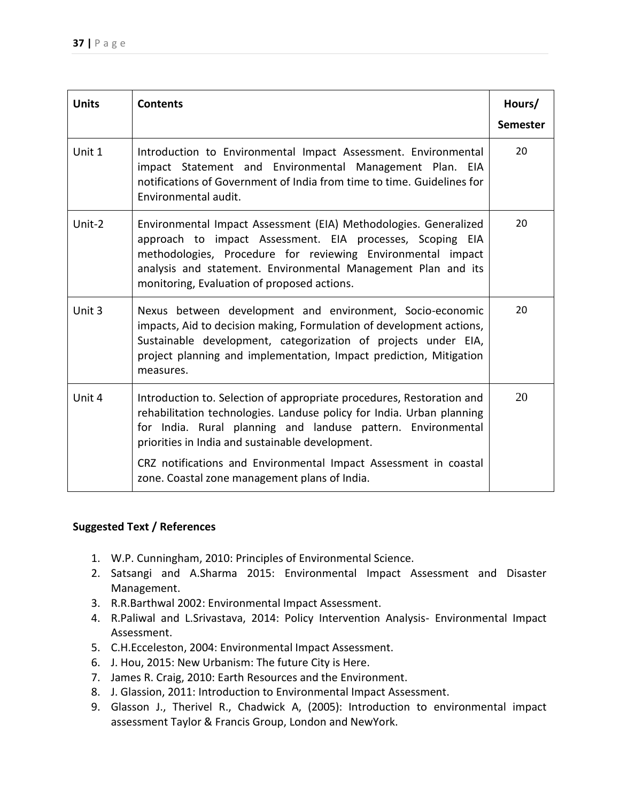| <b>Units</b> | <b>Contents</b>                                                                                                                                                                                                                                                                                                                        | Hours/          |
|--------------|----------------------------------------------------------------------------------------------------------------------------------------------------------------------------------------------------------------------------------------------------------------------------------------------------------------------------------------|-----------------|
|              |                                                                                                                                                                                                                                                                                                                                        | <b>Semester</b> |
| Unit 1       | Introduction to Environmental Impact Assessment. Environmental<br>impact Statement and Environmental Management Plan. EIA<br>notifications of Government of India from time to time. Guidelines for<br>Environmental audit.                                                                                                            | 20              |
| Unit-2       | Environmental Impact Assessment (EIA) Methodologies. Generalized<br>approach to impact Assessment. EIA processes, Scoping EIA<br>methodologies, Procedure for reviewing Environmental impact<br>analysis and statement. Environmental Management Plan and its<br>monitoring, Evaluation of proposed actions.                           | 20              |
| Unit 3       | Nexus between development and environment, Socio-economic<br>impacts, Aid to decision making, Formulation of development actions,<br>Sustainable development, categorization of projects under EIA,<br>project planning and implementation, Impact prediction, Mitigation<br>measures.                                                 | 20              |
| Unit 4       | Introduction to. Selection of appropriate procedures, Restoration and<br>rehabilitation technologies. Landuse policy for India. Urban planning<br>for India. Rural planning and landuse pattern. Environmental<br>priorities in India and sustainable development.<br>CRZ notifications and Environmental Impact Assessment in coastal | 20              |
|              | zone. Coastal zone management plans of India.                                                                                                                                                                                                                                                                                          |                 |

- 1. W.P. Cunningham, 2010: Principles of Environmental Science.
- 2. Satsangi and A.Sharma 2015: Environmental Impact Assessment and Disaster Management.
- 3. R.R.Barthwal 2002: Environmental Impact Assessment.
- 4. R.Paliwal and L.Srivastava, 2014: Policy Intervention Analysis- Environmental Impact Assessment.
- 5. C.H.Ecceleston, 2004: Environmental Impact Assessment.
- 6. J. Hou, 2015: New Urbanism: The future City is Here.
- 7. James R. Craig, 2010: Earth Resources and the Environment.
- 8. J. Glassion, 2011: Introduction to Environmental Impact Assessment.
- 9. Glasson J., Therivel R., Chadwick A, (2005): Introduction to environmental impact assessment Taylor & Francis Group, London and NewYork.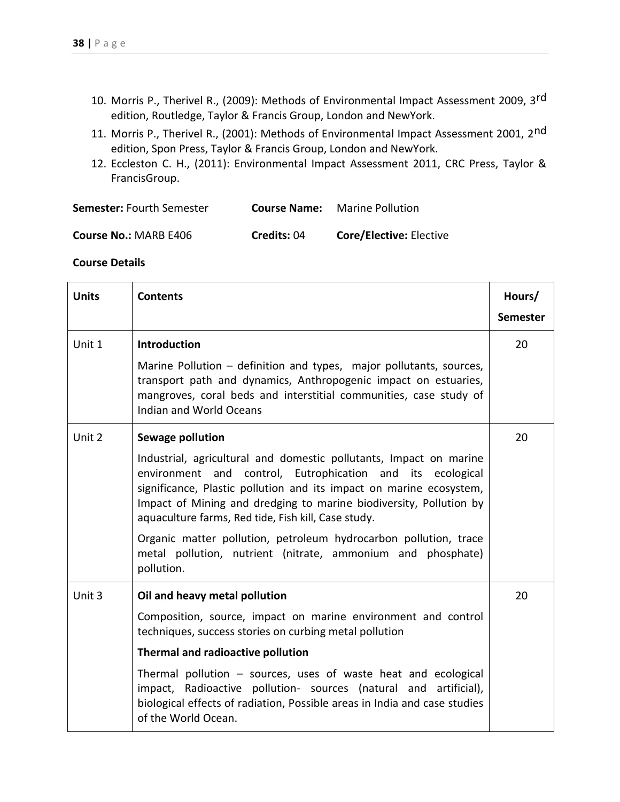- 10. Morris P., Therivel R., (2009): Methods of Environmental Impact Assessment 2009, 3<sup>rd</sup> edition, Routledge, Taylor & Francis Group, London and NewYork.
- 11. Morris P., Therivel R., (2001): Methods of Environmental Impact Assessment 2001, 2<sup>nd</sup> edition, Spon Press, Taylor & Francis Group, London and NewYork.
- 12. Eccleston C. H., (2011): Environmental Impact Assessment 2011, CRC Press, Taylor & FrancisGroup.

| <b>Semester: Fourth Semester</b> | <b>Course Name:</b> | <b>Marine Pollution</b> |
|----------------------------------|---------------------|-------------------------|
|                                  |                     |                         |

| <b>Course No.: MARB E406</b> | Credits: 04 | <b>Core/Elective: Elective</b> |
|------------------------------|-------------|--------------------------------|
|------------------------------|-------------|--------------------------------|

| <b>Units</b> | <b>Contents</b>                                                                                                                                                                                                                                                                                                                                                                                             | Hours/<br><b>Semester</b> |
|--------------|-------------------------------------------------------------------------------------------------------------------------------------------------------------------------------------------------------------------------------------------------------------------------------------------------------------------------------------------------------------------------------------------------------------|---------------------------|
| Unit 1       | <b>Introduction</b>                                                                                                                                                                                                                                                                                                                                                                                         | 20                        |
|              | Marine Pollution – definition and types, major pollutants, sources,<br>transport path and dynamics, Anthropogenic impact on estuaries,<br>mangroves, coral beds and interstitial communities, case study of<br><b>Indian and World Oceans</b>                                                                                                                                                               |                           |
| Unit 2       | <b>Sewage pollution</b>                                                                                                                                                                                                                                                                                                                                                                                     | 20                        |
|              | Industrial, agricultural and domestic pollutants, Impact on marine<br>and control, Eutrophication and its ecological<br>environment<br>significance, Plastic pollution and its impact on marine ecosystem,<br>Impact of Mining and dredging to marine biodiversity, Pollution by<br>aquaculture farms, Red tide, Fish kill, Case study.<br>Organic matter pollution, petroleum hydrocarbon pollution, trace |                           |
|              | metal pollution, nutrient (nitrate, ammonium and phosphate)<br>pollution.                                                                                                                                                                                                                                                                                                                                   |                           |
| Unit 3       | Oil and heavy metal pollution                                                                                                                                                                                                                                                                                                                                                                               | 20                        |
|              | Composition, source, impact on marine environment and control<br>techniques, success stories on curbing metal pollution                                                                                                                                                                                                                                                                                     |                           |
|              | Thermal and radioactive pollution                                                                                                                                                                                                                                                                                                                                                                           |                           |
|              | Thermal pollution $-$ sources, uses of waste heat and ecological<br>impact, Radioactive pollution- sources (natural and artificial),<br>biological effects of radiation, Possible areas in India and case studies<br>of the World Ocean.                                                                                                                                                                    |                           |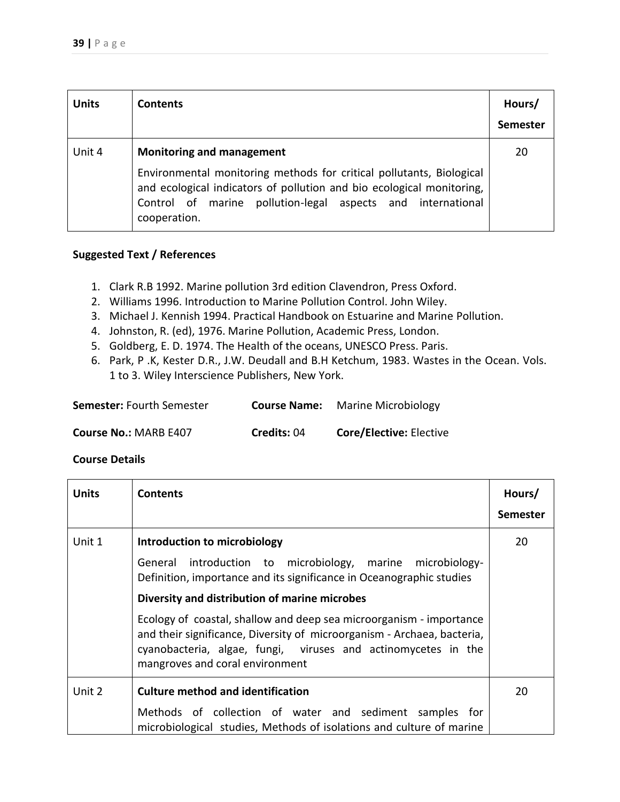| <b>Units</b> | <b>Contents</b>                                                                                                                                                                                                              | Hours/<br><b>Semester</b> |
|--------------|------------------------------------------------------------------------------------------------------------------------------------------------------------------------------------------------------------------------------|---------------------------|
| Unit 4       | <b>Monitoring and management</b>                                                                                                                                                                                             | 20                        |
|              | Environmental monitoring methods for critical pollutants, Biological<br>and ecological indicators of pollution and bio ecological monitoring,<br>Control of marine pollution-legal aspects and international<br>cooperation. |                           |

- 1. Clark R.B 1992. Marine pollution 3rd edition Clavendron, Press Oxford.
- 2. Williams 1996. Introduction to Marine Pollution Control. John Wiley.
- 3. Michael J. Kennish 1994. Practical Handbook on Estuarine and Marine Pollution.
- 4. Johnston, R. (ed), 1976. Marine Pollution, Academic Press, London.
- 5. Goldberg, E. D. 1974. The Health of the oceans, UNESCO Press. Paris.
- 6. Park, P .K, Kester D.R., J.W. Deudall and B.H Ketchum, 1983. Wastes in the Ocean. Vols. 1 to 3. Wiley Interscience Publishers, New York.

| <b>Semester: Fourth Semester</b> | <b>Course Name:</b> | <b>Marine Microbiology</b>     |
|----------------------------------|---------------------|--------------------------------|
| <b>Course No.: MARB E407</b>     | Credits: 04         | <b>Core/Elective: Elective</b> |

| <b>Units</b> | <b>Contents</b>                                                                                                                                                                                                                                    | Hours/          |
|--------------|----------------------------------------------------------------------------------------------------------------------------------------------------------------------------------------------------------------------------------------------------|-----------------|
|              |                                                                                                                                                                                                                                                    | <b>Semester</b> |
| Unit 1       | Introduction to microbiology                                                                                                                                                                                                                       | 20              |
|              | General introduction to microbiology, marine microbiology-<br>Definition, importance and its significance in Oceanographic studies                                                                                                                 |                 |
|              | Diversity and distribution of marine microbes                                                                                                                                                                                                      |                 |
|              | Ecology of coastal, shallow and deep sea microorganism - importance<br>and their significance, Diversity of microorganism - Archaea, bacteria,<br>cyanobacteria, algae, fungi, viruses and actinomycetes in the<br>mangroves and coral environment |                 |
| Unit 2       | <b>Culture method and identification</b>                                                                                                                                                                                                           | 20              |
|              | Methods of collection of water and sediment samples for<br>microbiological studies, Methods of isolations and culture of marine                                                                                                                    |                 |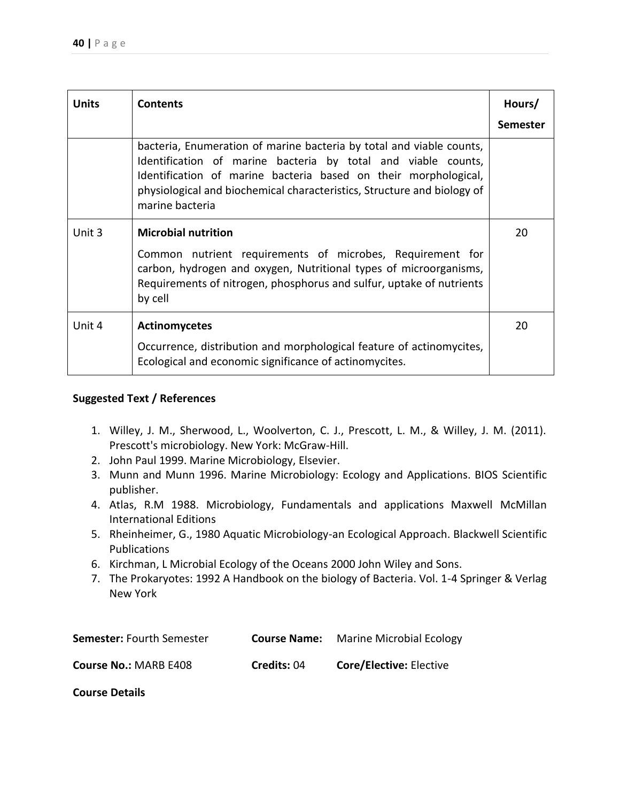| <b>Units</b> | <b>Contents</b>                                                                                                                                                                                                                                                                                        | Hours/          |
|--------------|--------------------------------------------------------------------------------------------------------------------------------------------------------------------------------------------------------------------------------------------------------------------------------------------------------|-----------------|
|              |                                                                                                                                                                                                                                                                                                        | <b>Semester</b> |
|              | bacteria, Enumeration of marine bacteria by total and viable counts,<br>Identification of marine bacteria by total and viable counts,<br>Identification of marine bacteria based on their morphological,<br>physiological and biochemical characteristics, Structure and biology of<br>marine bacteria |                 |
| Unit 3       | <b>Microbial nutrition</b>                                                                                                                                                                                                                                                                             | 20              |
|              | Common nutrient requirements of microbes, Requirement for<br>carbon, hydrogen and oxygen, Nutritional types of microorganisms,<br>Requirements of nitrogen, phosphorus and sulfur, uptake of nutrients<br>by cell                                                                                      |                 |
| Unit 4       | <b>Actinomycetes</b>                                                                                                                                                                                                                                                                                   | 20              |
|              | Occurrence, distribution and morphological feature of actinomycites,<br>Ecological and economic significance of actinomycites.                                                                                                                                                                         |                 |

- 1. Willey, J. M., Sherwood, L., Woolverton, C. J., Prescott, L. M., & Willey, J. M. (2011). Prescott's microbiology. New York: McGraw-Hill.
- 2. John Paul 1999. Marine Microbiology, Elsevier.
- 3. Munn and Munn 1996. Marine Microbiology: Ecology and Applications. BIOS Scientific publisher.
- 4. Atlas, R.M 1988. Microbiology, Fundamentals and applications Maxwell McMillan International Editions
- 5. Rheinheimer, G., 1980 Aquatic Microbiology-an Ecological Approach. Blackwell Scientific Publications
- 6. Kirchman, L Microbial Ecology of the Oceans 2000 John Wiley and Sons.
- 7. The Prokaryotes: 1992 A Handbook on the biology of Bacteria. Vol. 1-4 Springer & Verlag New York

| <b>Semester: Fourth Semester</b> | <b>Course Name:</b> | <b>Marine Microbial Ecology</b> |
|----------------------------------|---------------------|---------------------------------|
| <b>Course No.: MARB E408</b>     | Credits: 04         | <b>Core/Elective: Elective</b>  |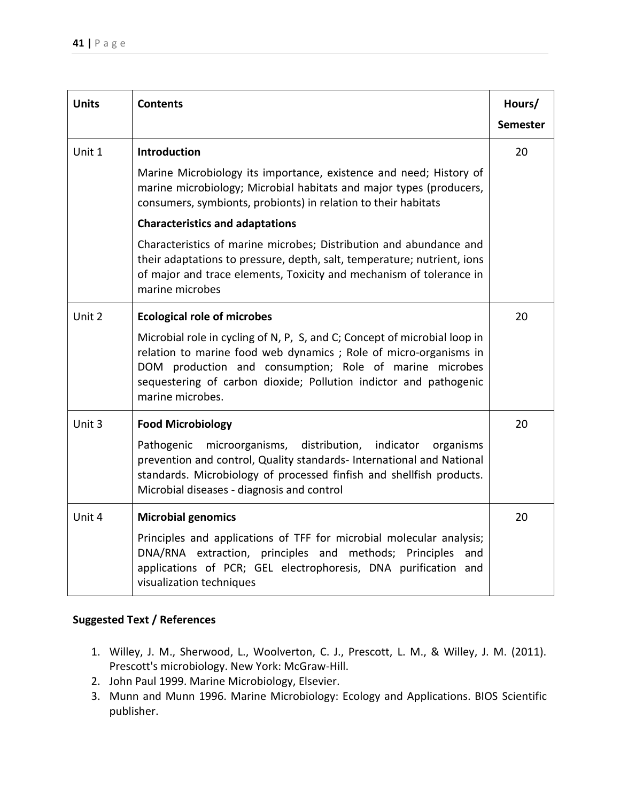| <b>Units</b> | <b>Contents</b>                                                                                                                                                                                                                                                                                   | Hours/          |
|--------------|---------------------------------------------------------------------------------------------------------------------------------------------------------------------------------------------------------------------------------------------------------------------------------------------------|-----------------|
|              |                                                                                                                                                                                                                                                                                                   | <b>Semester</b> |
| Unit 1       | Introduction                                                                                                                                                                                                                                                                                      | 20              |
|              | Marine Microbiology its importance, existence and need; History of<br>marine microbiology; Microbial habitats and major types (producers,<br>consumers, symbionts, probionts) in relation to their habitats                                                                                       |                 |
|              | <b>Characteristics and adaptations</b>                                                                                                                                                                                                                                                            |                 |
|              | Characteristics of marine microbes; Distribution and abundance and<br>their adaptations to pressure, depth, salt, temperature; nutrient, ions<br>of major and trace elements, Toxicity and mechanism of tolerance in<br>marine microbes                                                           |                 |
| Unit 2       | <b>Ecological role of microbes</b>                                                                                                                                                                                                                                                                | 20              |
|              | Microbial role in cycling of N, P, S, and C; Concept of microbial loop in<br>relation to marine food web dynamics; Role of micro-organisms in<br>DOM production and consumption; Role of marine microbes<br>sequestering of carbon dioxide; Pollution indictor and pathogenic<br>marine microbes. |                 |
| Unit 3       | <b>Food Microbiology</b>                                                                                                                                                                                                                                                                          | 20              |
|              | microorganisms, distribution, indicator<br>Pathogenic<br>organisms<br>prevention and control, Quality standards- International and National<br>standards. Microbiology of processed finfish and shellfish products.<br>Microbial diseases - diagnosis and control                                 |                 |
| Unit 4       | <b>Microbial genomics</b>                                                                                                                                                                                                                                                                         | 20              |
|              | Principles and applications of TFF for microbial molecular analysis;<br>DNA/RNA extraction, principles and methods; Principles<br>and<br>applications of PCR; GEL electrophoresis, DNA purification and<br>visualization techniques                                                               |                 |

- 1. Willey, J. M., Sherwood, L., Woolverton, C. J., Prescott, L. M., & Willey, J. M. (2011). Prescott's microbiology. New York: McGraw-Hill.
- 2. John Paul 1999. Marine Microbiology, Elsevier.
- 3. Munn and Munn 1996. Marine Microbiology: Ecology and Applications. BIOS Scientific publisher.